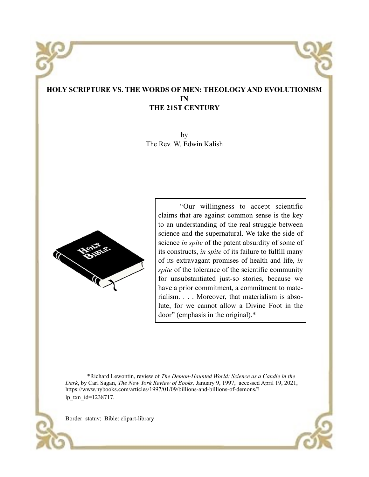## **HOLY SCRIPTURE VS. THE WORDS OF MEN: THEOLOGY AND EVOLUTIONISM IN THE 21ST CENTURY**

**HOLY SCRIPTURE VS. THEOLOGY AND EVOLUTION** 

by The Rev. W. Edwin Kalish



"Our willingness to accept scientific claims that are against common sense is the key to an understanding of the real struggle between science and the supernatural. We take the side of science *in spite* of the patent absurdity of some of its constructs, *in spite* of its failure to fulfill many of its extravagant promises of health and life, *in spite* of the tolerance of the scientific community for unsubstantiated just-so stories, because we have a prior commitment, a commitment to materialism. . . . Moreover, that materialism is absolute, for we cannot allow a Divine Foot in the door" (emphasis in the original).\*

\*Richard Lewontin, review of *The Demon-Haunted World: Science as a Candle in the Dark*, by Carl Sagan, *The New York Review of Books,* January 9, 1997, accessed April 19, 2021, https://www.nybooks.com/articles/1997/01/09/billions-and-billions-of-demons/? lp\_txn\_id=1238717.

1

Border: statuv; Bible: clipart-library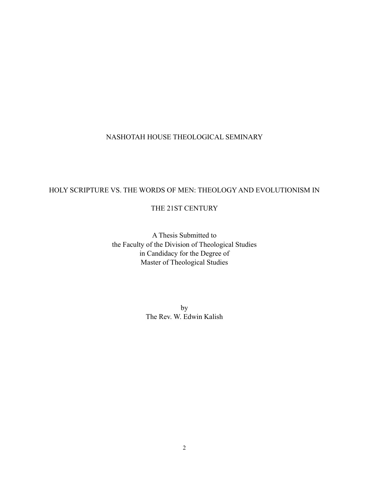## NASHOTAH HOUSE THEOLOGICAL SEMINARY

## HOLY SCRIPTURE VS. THE WORDS OF MEN: THEOLOGY AND EVOLUTIONISM IN

### THE 21ST CENTURY

A Thesis Submitted to the Faculty of the Division of Theological Studies in Candidacy for the Degree of Master of Theological Studies

> by The Rev. W. Edwin Kalish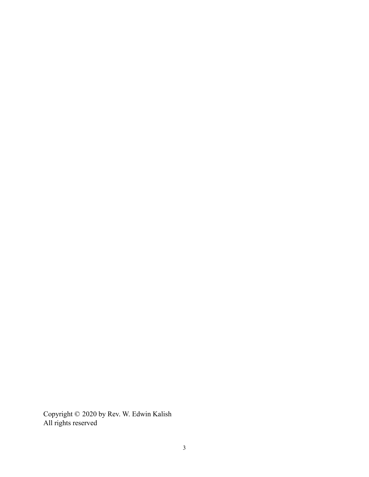Copyright © 2020 by Rev. W. Edwin Kalish All rights reserved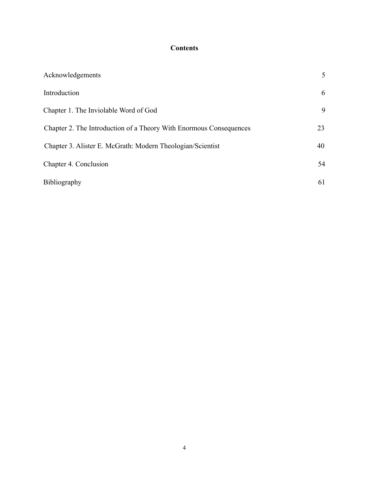# **Contents**

| Acknowledgements                                                   | 5  |
|--------------------------------------------------------------------|----|
| Introduction                                                       | 6  |
| Chapter 1. The Inviolable Word of God                              | 9  |
| Chapter 2. The Introduction of a Theory With Enormous Consequences | 23 |
| Chapter 3. Alister E. McGrath: Modern Theologian/Scientist         | 40 |
| Chapter 4. Conclusion                                              | 54 |
| <b>Bibliography</b>                                                | 61 |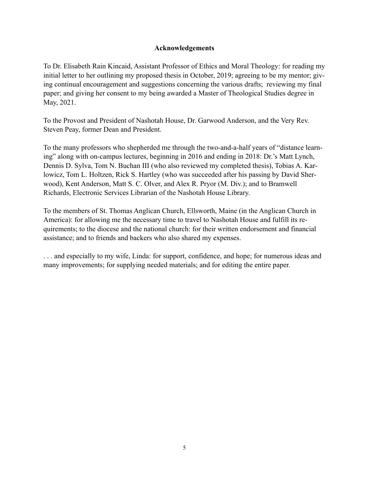### **Acknowledgements**

To Dr. Elisabeth Rain Kincaid, Assistant Professor of Ethics and Moral Theology: for reading my initial letter to her outlining my proposed thesis in October, 2019; agreeing to be my mentor; giving continual encouragement and suggestions concerning the various drafts; reviewing my final paper; and giving her consent to my being awarded a Master of Theological Studies degree in May, 2021.

To the Provost and President of Nashotah House, Dr. Garwood Anderson, and the Very Rev. Steven Peay, former Dean and President.

To the many professors who shepherded me through the two-and-a-half years of "distance learning" along with on-campus lectures, beginning in 2016 and ending in 2018: Dr.'s Matt Lynch, Dennis D. Sylva, Tom N. Buchan III (who also reviewed my completed thesis), Tobias A. Karlowicz, Tom L. Holtzen, Rick S. Hartley (who was succeeded after his passing by David Sherwood), Kent Anderson, Matt S. C. Olver, and Alex R. Pryor (M. Div.); and to Bramwell Richards, Electronic Services Librarian of the Nashotah House Library.

To the members of St. Thomas Anglican Church, Ellsworth, Maine (in the Anglican Church in America): for allowing me the necessary time to travel to Nashotah House and fulfill its requirements; to the diocese and the national church: for their written endorsement and financial assistance; and to friends and backers who also shared my expenses.

. . . and especially to my wife, Linda: for support, confidence, and hope; for numerous ideas and many improvements; for supplying needed materials; and for editing the entire paper.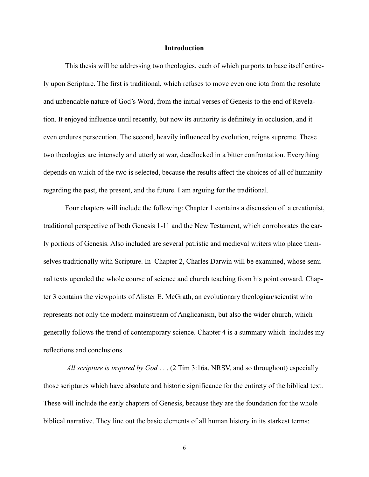#### **Introduction**

This thesis will be addressing two theologies, each of which purports to base itself entirely upon Scripture. The first is traditional, which refuses to move even one iota from the resolute and unbendable nature of God's Word, from the initial verses of Genesis to the end of Revelation. It enjoyed influence until recently, but now its authority is definitely in occlusion, and it even endures persecution. The second, heavily influenced by evolution, reigns supreme. These two theologies are intensely and utterly at war, deadlocked in a bitter confrontation. Everything depends on which of the two is selected, because the results affect the choices of all of humanity regarding the past, the present, and the future. I am arguing for the traditional.

Four chapters will include the following: Chapter 1 contains a discussion of a creationist, traditional perspective of both Genesis 1-11 and the New Testament, which corroborates the early portions of Genesis. Also included are several patristic and medieval writers who place themselves traditionally with Scripture. In Chapter 2, Charles Darwin will be examined, whose seminal texts upended the whole course of science and church teaching from his point onward. Chapter 3 contains the viewpoints of Alister E. McGrath, an evolutionary theologian/scientist who represents not only the modern mainstream of Anglicanism, but also the wider church, which generally follows the trend of contemporary science. Chapter 4 is a summary which includes my reflections and conclusions.

 *All scripture is inspired by God* . . . (2 Tim 3:16a, NRSV, and so throughout) especially those scriptures which have absolute and historic significance for the entirety of the biblical text. These will include the early chapters of Genesis, because they are the foundation for the whole biblical narrative. They line out the basic elements of all human history in its starkest terms:

6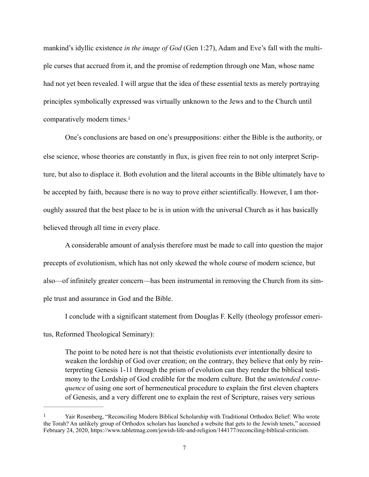mankind's idyllic existence *in the image of God* (Gen 1:27), Adam and Eve's fall with the multiple curses that accrued from it, and the promise of redemption through one Man, whose name had not yet been revealed. I will argue that the idea of these essential texts as merely portraying principles symbolically expressed was virtually unknown to the Jews and to the Church until comparatively modern times[.1](#page-6-0)

<span id="page-6-1"></span>One's conclusions are based on one's presuppositions: either the Bible is the authority, or else science, whose theories are constantly in flux, is given free rein to not only interpret Scripture, but also to displace it. Both evolution and the literal accounts in the Bible ultimately have to be accepted by faith, because there is no way to prove either scientifically. However, I am thoroughly assured that the best place to be is in union with the universal Church as it has basically believed through all time in every place.

A considerable amount of analysis therefore must be made to call into question the major precepts of evolutionism, which has not only skewed the whole course of modern science, but also—of infinitely greater concern—has been instrumental in removing the Church from its simple trust and assurance in God and the Bible.

I conclude with a significant statement from Douglas F. Kelly (theology professor emeri-

tus, Reformed Theological Seminary):

The point to be noted here is not that theistic evolutionists ever intentionally desire to weaken the lordship of God over creation; on the contrary, they believe that only by reinterpreting Genesis 1-11 through the prism of evolution can they render the biblical testimony to the Lordship of God credible for the modern culture. But the *unintended consequence* of using one sort of hermeneutical procedure to explain the first eleven chapters of Genesis, and a very different one to explain the rest of Scripture, raises very serious

<span id="page-6-0"></span>Yair Rosenberg, "Reconciling Modern Biblical Scholarship with Traditional Orthodox Belief: Who wrote [1](#page-6-1) the Torah? An unlikely group of Orthodox scholars has launched a website that gets to the Jewish tenets," accessed February 24, 2020, https://www.tabletmag.com/jewish-life-and-religion/144177/reconciling-biblical-criticism.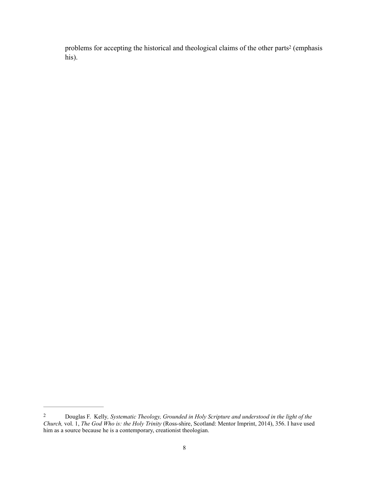<span id="page-7-1"></span>problems for accepting the historical and theological claims of the other parts<sup>[2](#page-7-0)</sup> (emphasis his).

<span id="page-7-0"></span>Douglas F. Kelly*, Systematic Theology, Grounded in Holy Scripture and understood in the light of the* [2](#page-7-1) *Church,* vol. 1, *The God Who is: the Holy Trinity* (Ross-shire, Scotland: Mentor Imprint, 2014), 356. I have used him as a source because he is a contemporary, creationist theologian.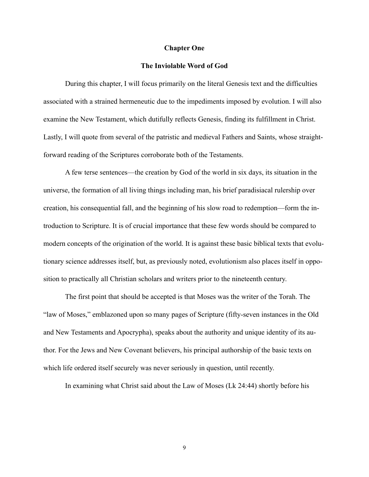#### **Chapter One**

#### **The Inviolable Word of God**

During this chapter, I will focus primarily on the literal Genesis text and the difficulties associated with a strained hermeneutic due to the impediments imposed by evolution. I will also examine the New Testament, which dutifully reflects Genesis, finding its fulfillment in Christ. Lastly, I will quote from several of the patristic and medieval Fathers and Saints, whose straightforward reading of the Scriptures corroborate both of the Testaments.

A few terse sentences—the creation by God of the world in six days, its situation in the universe, the formation of all living things including man, his brief paradisiacal rulership over creation, his consequential fall, and the beginning of his slow road to redemption—form the introduction to Scripture. It is of crucial importance that these few words should be compared to modern concepts of the origination of the world. It is against these basic biblical texts that evolutionary science addresses itself, but, as previously noted, evolutionism also places itself in opposition to practically all Christian scholars and writers prior to the nineteenth century.

The first point that should be accepted is that Moses was the writer of the Torah. The "law of Moses," emblazoned upon so many pages of Scripture (fifty-seven instances in the Old and New Testaments and Apocrypha), speaks about the authority and unique identity of its author. For the Jews and New Covenant believers, his principal authorship of the basic texts on which life ordered itself securely was never seriously in question, until recently.

In examining what Christ said about the Law of Moses (Lk 24:44) shortly before his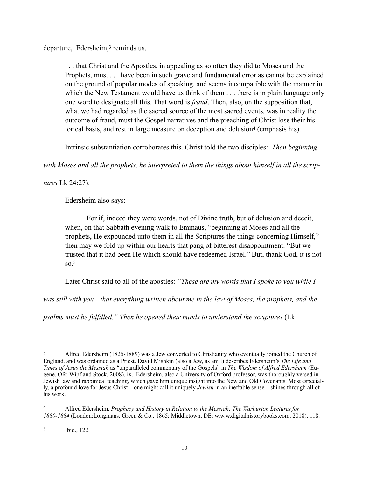departure,Edersheim,<sup>3</sup> reminds us,

<span id="page-9-3"></span>. . . that Christ and the Apostles, in appealing as so often they did to Moses and the Prophets, must . . . have been in such grave and fundamental error as cannot be explained on the ground of popular modes of speaking, and seems incompatible with the manner in which the New Testament would have us think of them . . . there is in plain language only one word to designate all this. That word is *fraud*. Then, also, on the supposition that, what we had regarded as the sacred source of the most sacred events, was in reality the outcome of fraud, must the Gospel narratives and the preaching of Christ lose their historical basis, a[n](#page-9-1)d rest in large measure on deception and delusion<sup>4</sup> (emphasis his).

<span id="page-9-4"></span>Intrinsic substantiation corroborates this. Christ told the two disciples: *Then beginning* 

*with Moses and all the prophets, he interpreted to them the things about himself in all the scrip-*

*tures* Lk 24:27).

Edersheim also says:

For if, indeed they were words, not of Divine truth, but of delusion and deceit, when, on that Sabbath evening walk to Emmaus, "beginning at Moses and all the prophets, He expounded unto them in all the Scriptures the things concerning Himself," then may we fold up within our hearts that pang of bitterest disappointment: "But we trusted that it had been He which should have redeemed Israel." But, thank God, it is not  $SO<sub>2</sub>$ 

<span id="page-9-5"></span>Later Christ said to all of the apostles: *"These are my words that I spoke to you while I* 

*was still with you—that everything written about me in the law of Moses, the prophets, and the* 

*psalms must be fulfilled." Then he opened their minds to understand the scriptures* (Lk

<span id="page-9-0"></span>Alfred Edersheim (1825-1889) was a Jew converted to Christianity who eventually joined the Church of [3](#page-9-3) England, and was ordained as a Priest. David Mishkin (also a Jew, as am I) describes Edersheim's *The Life and Times of Jesus the Messiah* as "unparalleled commentary of the Gospels" in *The Wisdom of Alfred Edersheim* (Eugene, OR: Wipf and Stock, 2008), ix. Edersheim, also a University of Oxford professor, was thoroughly versed in Jewish law and rabbinical teaching, which gave him unique insight into the New and Old Covenants. Most especially, a profound love for Jesus Christ—one might call it uniquely *Jewish* in an ineffable sense—shines through all of his work.

<span id="page-9-1"></span>Alfred Edersheim, *Prophecy and History in Relation to the Messiah: The Warburton Lectures for* [4](#page-9-4) *1880-1884* (London:Longmans, Green & Co., 1865; Middletown, DE: w.w.w.digitalhistorybooks.com, 2018), 118.

<span id="page-9-2"></span>Ibid., 122. [5](#page-9-5)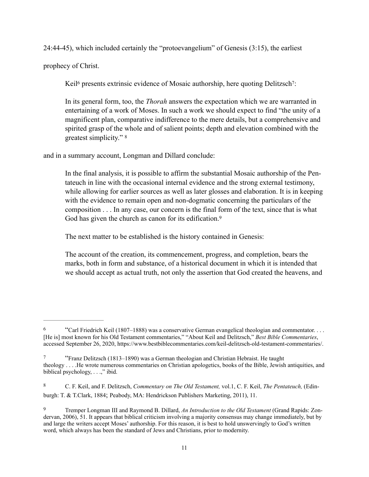24:44-45), which included certainly the "protoevangelium" of Genesis (3:15), the earliest

prophecy of Christ.

<span id="page-10-5"></span><span id="page-10-4"></span>Keil<sup>6</sup>presents extrinsic evidence of Mosaic authorship, here quoting Delitzsch<sup>[7](#page-10-1)</sup>:

<span id="page-10-6"></span>In its general form, too, the *Thorah* answers the expectation which we are warranted in entertaining of a work of Moses. In such a work we should expect to find "the unity of a magnificent plan, comparative indifference to the mere details, but a comprehensive and spirited grasp of the whole and of salient points; depth and elevation combined with the greatest simplicity." [8](#page-10-2)

and in a summary account, Longman and Dillard conclude:

In the final analysis, it is possible to affirm the substantial Mosaic authorship of the Pentateuch in line with the occasional internal evidence and the strong external testimony, while allowing for earlier sources as well as later glosses and elaboration. It is in keeping with the evidence to remain open and non-dogmatic concerning the particulars of the composition . . . In any case, our concern is the final form of the text, since that is what God has given the church as canon for its edification.<sup>[9](#page-10-3)</sup>

<span id="page-10-7"></span>The next matter to be established is the history contained in Genesis:

The account of the creation, its commencement, progress, and completion, bears the marks, both in form and substance, of a historical document in which it is intended that we should accept as actual truth, not only the assertion that God created the heavens, and

<span id="page-10-0"></span><sup>&</sup>lt;sup>[6](#page-10-4)</sup> "Carl Friedrich Keil (1807–1888) was a conservative German evangelical theologian and commentator. . . . [He is] most known for his Old Testament commentaries," "About Keil and Delitzsch," *Best Bible Commentaries*, accessed September 26, 2020, https://www.bestbiblecommentaries.com/keil-delitzsch-old-testament-commentaries/.

<span id="page-10-1"></span><sup>&</sup>lt;sup>[7](#page-10-5)</sup> "Franz Delitzsch (1813–1890) was a German theologian and Christian Hebraist. He taught theology . . . .He wrote numerous commentaries on Christian apologetics, books of the Bible, Jewish antiquities, and biblical psychology, . . .," ibid.

<span id="page-10-2"></span><sup>&</sup>lt;sup>[8](#page-10-6)</sup> C. F. Keil, and F. Delitzsch, *Commentary on The Old Testament*, vol.1, C. F. Keil, *The Pentateuch*, (Edinburgh: T. & T.Clark, 1884; Peabody, MA: Hendrickson Publishers Marketing, 2011), 11.

<span id="page-10-3"></span>Tremper Longman III and Raymond B. Dillard, *An Introduction to the Old Testament* (Grand Rapids: Zon [9](#page-10-7) dervan, 2006), 51. It appears that biblical criticism involving a majority consensus may change immediately, but by and large the writers accept Moses' authorship. For this reason, it is best to hold unswervingly to God's written word, which always has been the standard of Jews and Christians, prior to modernity.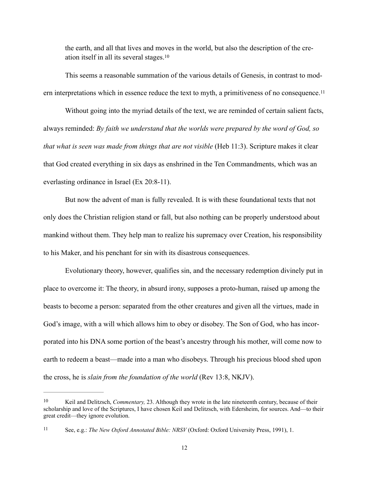<span id="page-11-3"></span><span id="page-11-2"></span>the earth, and all that lives and moves in the world, but also the description of the creation itself in all its several stages.[10](#page-11-0)

This seems a reasonable summation of the various details of Genesis, in contrast to modern interpretations which in essence reduce the text to myth, a primitiveness of no consequence. [11](#page-11-1)

Without going into the myriad details of the text, we are reminded of certain salient facts, always reminded: *By faith we understand that the worlds were prepared by the word of God, so that what is seen was made from things that are not visible* (Heb 11:3). Scripture makes it clear that God created everything in six days as enshrined in the Ten Commandments, which was an everlasting ordinance in Israel (Ex 20:8-11).

But now the advent of man is fully revealed. It is with these foundational texts that not only does the Christian religion stand or fall, but also nothing can be properly understood about mankind without them. They help man to realize his supremacy over Creation, his responsibility to his Maker, and his penchant for sin with its disastrous consequences.

Evolutionary theory, however, qualifies sin, and the necessary redemption divinely put in place to overcome it: The theory, in absurd irony, supposes a proto-human, raised up among the beasts to become a person: separated from the other creatures and given all the virtues, made in God's image, with a will which allows him to obey or disobey. The Son of God, who has incorporated into his DNA some portion of the beast's ancestry through his mother, will come now to earth to redeem a beast—made into a man who disobeys. Through his precious blood shed upon the cross, he is *slain from the foundation of the world* (Rev 13:8, NKJV).

<span id="page-11-0"></span>[<sup>10</sup>](#page-11-2) Keil and Delitzsch, *Commentary*, 23. Although they wrote in the late nineteenth century, because of their scholarship and love of the Scriptures, I have chosen Keil and Delitzsch, with Edersheim, for sources. And—to their great credit—they ignore evolution.

<span id="page-11-1"></span>[<sup>11</sup>](#page-11-3) See, e.g.: *The New Oxford Annotated Bible: NRSV* (Oxford: Oxford University Press, 1991), 1.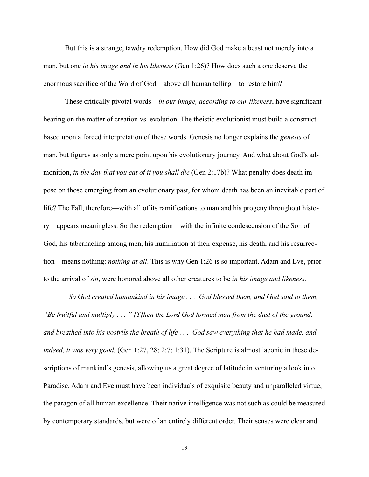But this is a strange, tawdry redemption. How did God make a beast not merely into a man, but one *in his image and in his likeness* (Gen 1:26)? How does such a one deserve the enormous sacrifice of the Word of God—above all human telling—to restore him?

These critically pivotal words—*in our image, according to our likeness*, have significant bearing on the matter of creation vs. evolution. The theistic evolutionist must build a construct based upon a forced interpretation of these words. Genesis no longer explains the *genesis* of man, but figures as only a mere point upon his evolutionary journey. And what about God's admonition, *in the day that you eat of it you shall die* (Gen 2:17b)? What penalty does death impose on those emerging from an evolutionary past, for whom death has been an inevitable part of life? The Fall, therefore—with all of its ramifications to man and his progeny throughout history—appears meaningless. So the redemption—with the infinite condescension of the Son of God, his tabernacling among men, his humiliation at their expense, his death, and his resurrection—means nothing: *nothing at all*. This is why Gen 1:26 is so important. Adam and Eve, prior to the arrival of *sin*, were honored above all other creatures to be *in his image and likeness.*

 *So God created humankind in his image . . . God blessed them, and God said to them, "Be fruitful and multiply . . . " [T]hen the Lord God formed man from the dust of the ground, and breathed into his nostrils the breath of life . . . God saw everything that he had made, and indeed, it was very good.* (Gen 1:27, 28; 2:7; 1:31). The Scripture is almost laconic in these descriptions of mankind's genesis, allowing us a great degree of latitude in venturing a look into Paradise. Adam and Eve must have been individuals of exquisite beauty and unparalleled virtue, the paragon of all human excellence. Their native intelligence was not such as could be measured by contemporary standards, but were of an entirely different order. Their senses were clear and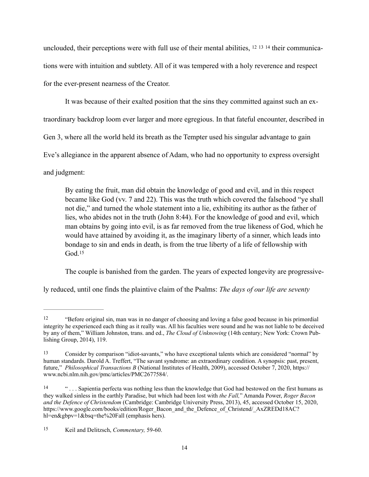unclouded, their perceptions were with full use of their mental abilities, [12](#page-13-0) [13](#page-13-1) [14](#page-13-2) their communications were with intuition and subtlety. All of it was tempered with a holy reverence and respect for the ever-present nearness of the Creator.

<span id="page-13-6"></span><span id="page-13-5"></span><span id="page-13-4"></span>It was because of their exalted position that the sins they committed against such an ex-

traordinary backdrop loom ever larger and more egregious. In that fateful encounter, described in

Gen 3, where all the world held its breath as the Tempter used his singular advantage to gain

Eve's allegiance in the apparent absence of Adam, who had no opportunity to express oversight

and judgment:

By eating the fruit, man did obtain the knowledge of good and evil, and in this respect became like God (vv. 7 and 22). This was the truth which covered the falsehood "ye shall not die," and turned the whole statement into a lie, exhibiting its author as the father of lies, who abides not in the truth (John 8:44). For the knowledge of good and evil, which man obtains by going into evil, is as far removed from the true likeness of God, which he would have attained by avoiding it, as the imaginary liberty of a sinner, which leads into bondage to sin and ends in death, is from the true liberty of a life of fellowship with God  $15$ 

<span id="page-13-7"></span>The couple is banished from the garden. The years of expected longevity are progressive-

ly reduced, until one finds the plaintive claim of the Psalms: *The days of our life are seventy* 

<span id="page-13-0"></span><sup>&</sup>lt;sup>[12](#page-13-4)</sup> "Before original sin, man was in no danger of choosing and loving a false good because in his primordial integrity he experienced each thing as it really was. All his faculties were sound and he was not liable to be deceived by any of them," William Johnston, trans. and ed., *The Cloud of Unknowing* (14th century; New York: Crown Publishing Group, 2014), 119.

<span id="page-13-1"></span>Consider by comparison "idiot-savants," who have exceptional talents which are considered "normal" by [13](#page-13-5) human standards. Darold A. Treffert, "The savant syndrome: an extraordinary condition. A synopsis: past, present, future," *Philosophical Transactions B* (National Institutes of Health, 2009), accessed October 7, 2020, https:// www.ncbi.nlm.nih.gov/pmc/articles/PMC2677584/.

<span id="page-13-2"></span><sup>&</sup>lt;sup>[14](#page-13-6)</sup> "... Sapientia perfecta was nothing less than the knowledge that God had bestowed on the first humans as they walked sinless in the earthly Paradise, but which had been lost with *the Fall,*" Amanda Power, *Roger Bacon and the Defence of Christendom* (Cambridge: Cambridge University Press, 2013), 45, accessed October 15, 2020, https://www.google.com/books/edition/Roger\_Bacon\_and\_the\_Defence\_of\_Christend/\_AxZREDd18AC? hl=en&gbpv=1&bsq=the%20Fall (emphasis hers).

<span id="page-13-3"></span>[<sup>15</sup>](#page-13-7) Keil and Delitzsch, *Commentary*, 59-60.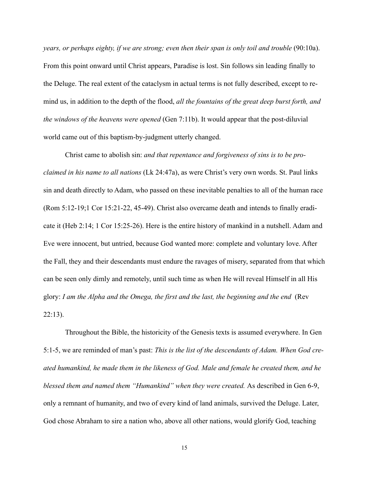*years, or perhaps eighty, if we are strong; even then their span is only toil and trouble (90:10a).* From this point onward until Christ appears, Paradise is lost. Sin follows sin leading finally to the Deluge. The real extent of the cataclysm in actual terms is not fully described, except to remind us, in addition to the depth of the flood, *all the fountains of the great deep burst forth, and the windows of the heavens were opened* (Gen 7:11b). It would appear that the post-diluvial world came out of this baptism-by-judgment utterly changed.

Christ came to abolish sin: *and that repentance and forgiveness of sins is to be proclaimed in his name to all nations* (Lk 24:47a), as were Christ's very own words. St. Paul links sin and death directly to Adam, who passed on these inevitable penalties to all of the human race (Rom 5:12-19;1 Cor 15:21-22, 45-49). Christ also overcame death and intends to finally eradicate it (Heb 2:14; 1 Cor 15:25-26). Here is the entire history of mankind in a nutshell. Adam and Eve were innocent, but untried, because God wanted more: complete and voluntary love. After the Fall, they and their descendants must endure the ravages of misery, separated from that which can be seen only dimly and remotely, until such time as when He will reveal Himself in all His glory: *I am the Alpha and the Omega, the first and the last, the beginning and the end* (Rev 22:13).

Throughout the Bible, the historicity of the Genesis texts is assumed everywhere. In Gen 5:1-5, we are reminded of man's past: *This is the list of the descendants of Adam. When God created humankind, he made them in the likeness of God. Male and female he created them, and he blessed them and named them "Humankind" when they were created.* As described in Gen 6-9, only a remnant of humanity, and two of every kind of land animals, survived the Deluge. Later, God chose Abraham to sire a nation who, above all other nations, would glorify God, teaching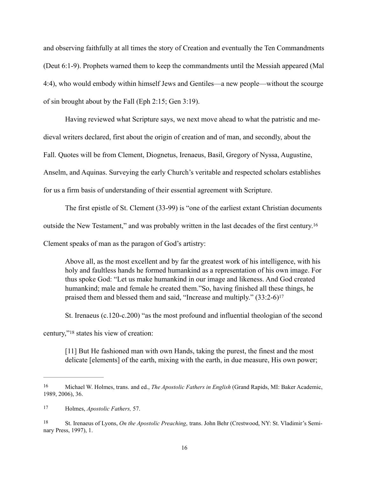and observing faithfully at all times the story of Creation and eventually the Ten Commandments (Deut 6:1-9). Prophets warned them to keep the commandments until the Messiah appeared (Mal 4:4), who would embody within himself Jews and Gentiles—a new people—without the scourge of sin brought about by the Fall (Eph 2:15; Gen 3:19).

Having reviewed what Scripture says, we next move ahead to what the patristic and medieval writers declared, first about the origin of creation and of man, and secondly, about the Fall. Quotes will be from Clement, Diognetus, Irenaeus, Basil, Gregory of Nyssa, Augustine, Anselm, and Aquinas. Surveying the early Church's veritable and respected scholars establishes for us a firm basis of understanding of their essential agreement with Scripture.

The first epistle of St. Clement (33-99) is "one of the earliest extant Christian documents outside the New Testament," and was probably written in the last decades of the first century.[16](#page-15-0) Clement speaks of man as the paragon of God's artistry:

<span id="page-15-3"></span>Above all, as the most excellent and by far the greatest work of his intelligence, with his holy and faultless hands he formed humankind as a representation of his own image. For thus spoke God: "Let us make humankind in our image and likeness. And God created humankind; male and female he created them."So, having finished all these things, he praised them and blessed them and said, "Increase and multiply." (33:2-6)<sup>17</sup>

<span id="page-15-5"></span><span id="page-15-4"></span>St. Irenaeus (c.120-c.200) "as the most profound and influential theologian of the second

century,"<sup>18</sup>states his view of creation:

[11] But He fashioned man with own Hands, taking the purest, the finest and the most delicate [elements] of the earth, mixing with the earth, in due measure, His own power;

<span id="page-15-0"></span>Michael W. Holmes, trans. and ed., *The Apostolic Fathers in English* (Grand Rapids, MI: Baker Academic, [16](#page-15-3) 1989, 2006), 36.

<span id="page-15-1"></span>[<sup>17</sup>](#page-15-4) Holmes, *Apostolic Fathers*, 57.

<span id="page-15-2"></span>[<sup>18</sup>](#page-15-5) St. Irenaeus of Lyons, *On the Apostolic Preaching*, trans. John Behr (Crestwood, NY: St. Vladimir's Seminary Press, 1997), 1.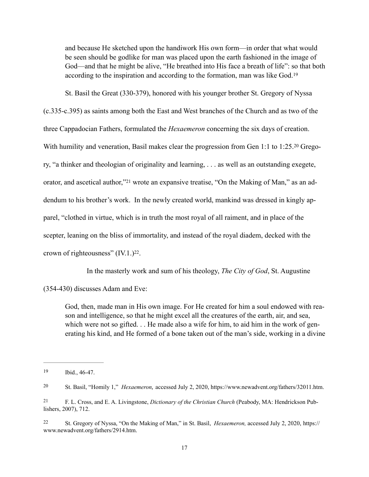<span id="page-16-4"></span>and because He sketched upon the handiwork His own form—in order that what would be seen should be godlike for man was placed upon the earth fashioned in the image of God—and that he might be alive, "He breathed into His face a breath of life": so that both according to the inspiration and according to the formation, man was like God.[19](#page-16-0)

St. Basil the Great (330-379), honored with his younger brother St. Gregory of Nyssa (c.335-c.395) as saints among both the East and West branches of the Church and as two of the three Cappadocian Fathers, formulated the *Hexaemeron* concerning the six days of creation. With humility and veneration, Basil makes clear the progression from Gen 1:1 to 1:25.<sup>20</sup> Gregory, "a thinker and theologian of originality and learning, . . . as well as an outstanding exegete, orator, and ascetical author,["21](#page-16-2) wrote an expansive treatise, "On the Making of Man," as an addendum to his brother's work. In the newly created world, mankind was dressed in kingly apparel, "clothed in virtue, which is in truth the most royal of all raiment, and in place of the scepter, leaning on the bliss of immortality, and instead of the royal diadem, decked with the crown of righteousness"  $(IV.1.)^{22}$  $(IV.1.)^{22}$  $(IV.1.)^{22}$  $(IV.1.)^{22}$  $(IV.1.)^{22}$ .

<span id="page-16-7"></span><span id="page-16-6"></span><span id="page-16-5"></span>In the masterly work and sum of his theology, *The City of God*, St. Augustine

(354-430) discusses Adam and Eve:

God, then, made man in His own image. For He created for him a soul endowed with reason and intelligence, so that he might excel all the creatures of the earth, air, and sea, which were not so gifted. . . He made also a wife for him, to aid him in the work of generating his kind, and He formed of a bone taken out of the man's side, working in a divine

<span id="page-16-0"></span>Ibid., 46-47. [19](#page-16-4)

<span id="page-16-1"></span>St. Basil, "Homily 1," *Hexaemeron,* accessed July 2, 2020, https://www.newadvent.org/fathers/32011.htm. [20](#page-16-5)

<span id="page-16-2"></span>F. L. Cross, and E. A. Livingstone, *Dictionary of the Christian Church* (Peabody, MA: Hendrickson Pub [21](#page-16-6) lishers, 2007), 712.

<span id="page-16-3"></span>St. Gregory of Nyssa, "On the Making of Man," in St. Basil, *Hexaemeron,* accessed July 2, 2020, https:// [22](#page-16-7) www.newadvent.org/fathers/2914.htm.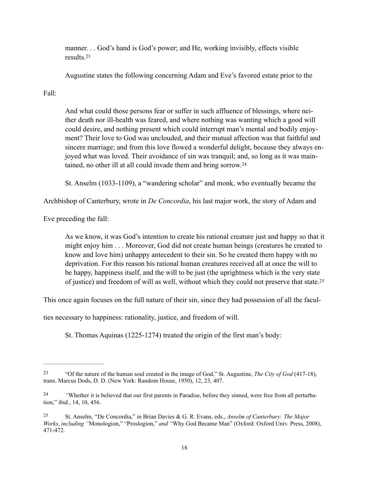<span id="page-17-3"></span>manner. . . God's hand is God's power; and He, working invisibly, effects visible results[.23](#page-17-0)

Augustine states the following concerning Adam and Eve's favored estate prior to the

### Fall:

And what could those persons fear or suffer in such affluence of blessings, where neither death nor ill-health was feared, and where nothing was wanting which a good will could desire, and nothing present which could interrupt man's mental and bodily enjoyment? Their love to God was unclouded, and their mutual affection was that faithful and sincere marriage; and from this love flowed a wonderful delight, because they always enjoyed what was loved. Their avoidance of sin was tranquil; and, so long as it was maintained, no other ill at all could invade them and bring sorrow[.24](#page-17-1)

<span id="page-17-4"></span>St. Anselm (1033-1109), a "wandering scholar" and monk, who eventually became the

Archbishop of Canterbury, wrote in *De Concordia*, his last major work, the story of Adam and

Eve preceding the fall:

<span id="page-17-5"></span>As we know, it was God's intention to create his rational creature just and happy so that it might enjoy him . . . Moreover, God did not create human beings (creatures he created to know and love him) unhappy antecedent to their sin. So he created them happy with no deprivation. For this reason his rational human creatures received all at once the will to be happy, happiness itself, and the will to be just (the uprightness which is the very state of justice) and freedom of will as well, without which they could not preserve that state[.25](#page-17-2)

This once again focuses on the full nature of their sin, since they had possession of all the facul-

ties necessary to happiness: rationality, justice, and freedom of will.

St. Thomas Aquinas (1225-1274) treated the origin of the first man's body:

<span id="page-17-0"></span><sup>&</sup>quot;Of the nature of the human soul created in the image of God," St. Augustine, *The City of God* (417-18), [23](#page-17-3) trans. Marcus Dods, D. D. (New York: Random House, 1950), 12, 23, 407.

<span id="page-17-1"></span><sup>&</sup>lt;sup>[24](#page-17-4)</sup> "Whether it is believed that our first parents in Paradise, before they sinned, were free from all perturbation," ibid., 14, 10, 456.

<span id="page-17-2"></span>St. Anselm, "De Concordia," in Brian Davies & G. R. Evans, eds., *Anselm of Canterbury: The Major* [25](#page-17-5) *Works*, *including "*Monologion," "Proslogion," *and "*Why God Became Man" (Oxford: Oxford Univ. Press, 2008), 471-472.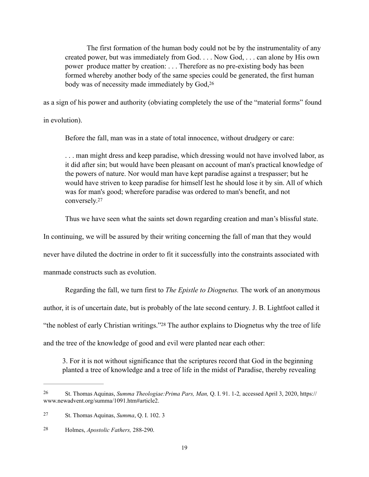<span id="page-18-3"></span>The first formation of the human body could not be by the instrumentality of any created power, but was immediately from God. . . . Now [God](https://www.newadvent.org/cathen/06608a.htm), . . . can alone by His own power produce [matter](https://www.newadvent.org/cathen/10053b.htm) by creation: . . . Therefore as no pre-existing body has been formed whereby another body of the same [species](https://www.newadvent.org/cathen/14210a.htm) could be generated, the first [human](https://www.newadvent.org/cathen/09580c.htm) body was of [necessity](https://www.newadvent.org/cathen/10733a.htm) made immediately by [God](https://www.newadvent.org/cathen/06608a.htm)[,26](#page-18-0)

as a sign of his power and authority (obviating completely the use of the "material forms" found

in evolution).

Before the fall, man was in a state of total innocence, without drudgery or care:

. . . [man](http://www.newadvent.org/cathen/09580c.htm) might dress and keep paradise, which dressing would not have involved labor, as it did after [sin;](http://www.newadvent.org/cathen/14004b.htm) but would have been pleasant on account of [man's](http://www.newadvent.org/cathen/09580c.htm) practical [knowledge](http://www.newadvent.org/cathen/08673a.htm) of the powers of [nature](http://www.newadvent.org/cathen/10715a.htm). Nor would [man](http://www.newadvent.org/cathen/09580c.htm) have kept paradise against a trespasser; but he would have striven to keep paradise for himself lest he should lose it by [sin](http://www.newadvent.org/cathen/14004b.htm). All of which was for [man's](http://www.newadvent.org/cathen/09580c.htm) [good](http://www.newadvent.org/cathen/06636b.htm); wherefore paradise was ordered to [man's](http://www.newadvent.org/cathen/09580c.htm) benefit, and not conversely[.27](#page-18-1)

<span id="page-18-4"></span>Thus we have seen what the saints set down regarding creation and man's blissful state.

In continuing, we will be assured by their writing concerning the fall of man that they would

never have diluted the doctrine in order to fit it successfully into the constraints associated with

manmade constructs such as evolution.

<span id="page-18-5"></span>Regarding the fall, we turn first to *The Epistle to Diognetus.* The work of an anonymous

author, it is of uncertain date, but is probably of the late second century. J. B. Lightfoot called it

["](#page-18-2)the noblest of early Christian writings."<sup>[28](#page-18-2)</sup> The author explains to Diognetus why the tree of life

and the tree of the knowledge of good and evil were planted near each other:

3. For it is not without significance that the scriptures record that God in the beginning planted a tree of knowledge and a tree of life in the midst of Paradise, thereby revealing

<span id="page-18-0"></span>St. Thomas Aquinas, *Summa Theologiae:Prima Pars, Man,* Q. I. 91. 1-2*,* accessed April 3, 2020, https:// [26](#page-18-3) www.newadvent.org/summa/1091.htm#article2.

<span id="page-18-1"></span>[<sup>27</sup>](#page-18-4) St. Thomas Aquinas, *Summa*, Q. I. 102. 3

<span id="page-18-2"></span>Holmes, *Apostolic Fathers,* 288-290. [28](#page-18-5)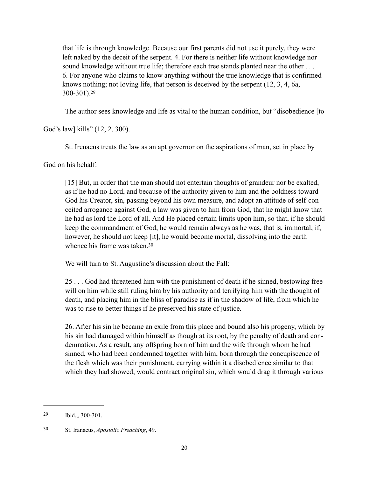that life is through knowledge. Because our first parents did not use it purely, they were left naked by the deceit of the serpent. 4. For there is neither life without knowledge nor sound knowledge without true life; therefore each tree stands planted near the other ... 6. For anyone who claims to know anything without the true knowledge that is confirmed knows nothing; not loving life, that person is deceived by the serpent (12, 3, 4, 6a, 300-301)[.29](#page-19-0)

<span id="page-19-2"></span>The author sees knowledge and life as vital to the human condition, but "disobedience [to

God's law] kills" (12, 2, 300).

St. Irenaeus treats the law as an apt governor on the aspirations of man, set in place by

God on his behalf:

[15] But, in order that the man should not entertain thoughts of grandeur nor be exalted, as if he had no Lord, and because of the authority given to him and the boldness toward God his Creator, sin, passing beyond his own measure, and adopt an attitude of self-conceited arrogance against God, a law was given to him from God, that he might know that he had as lord the Lord of all. And He placed certain limits upon him, so that, if he should keep the commandment of God, he would remain always as he was, that is, immortal; if, however, he should not keep [it], he would become mortal, dissolving into the earth whence his frame was taken.<sup>30</sup>

<span id="page-19-3"></span>We will turn to St. Augustine's discussion about the Fall:

25 . . . God had threatened him with the punishment of death if he sinned, bestowing free will on him while still ruling him by his authority and terrifying him with the thought of death, and placing him in the bliss of paradise as if in the shadow of life, from which he was to rise to better things if he preserved his state of justice.

26. After his sin he became an exile from this place and bound also his progeny, which by his sin had damaged within himself as though at its root, by the penalty of death and condemnation. As a result, any offspring born of him and the wife through whom he had sinned, who had been condemned together with him, born through the concupiscence of the flesh which was their punishment, carrying within it a disobedience similar to that which they had showed, would contract original sin, which would drag it through various

<span id="page-19-0"></span>Ibid.,*,* 300-301. [29](#page-19-2)

<span id="page-19-1"></span>St. Iranaeus, *Apostolic Preaching*, 49. [30](#page-19-3)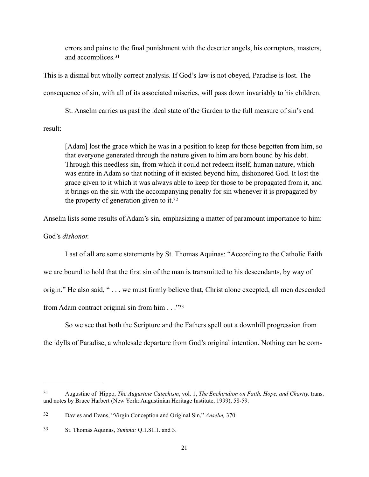<span id="page-20-3"></span>errors and pains to the final punishment with the deserter angels, his corruptors, masters, and accomplices.[31](#page-20-0)

This is a dismal but wholly correct analysis. If God's law is not obeyed, Paradise is lost. The consequence of sin, with all of its associated miseries, will pass down invariably to his children.

St. Anselm carries us past the ideal state of the Garden to the full measure of sin's end

result:

<span id="page-20-4"></span>[Adam] lost the grace which he was in a position to keep for those begotten from him, so that everyone generated through the nature given to him are born bound by his debt. Through this needless sin, from which it could not redeem itself, human nature, which was entire in Adam so that nothing of it existed beyond him, dishonored God. It lost the grace given to it which it was always able to keep for those to be propagated from it, and it brings on the sin with the accompanying penalty for sin whenever it is propagated by the property of generation given to it.[32](#page-20-1)

Anselm lists some results of Adam's sin, emphasizing a matter of paramount importance to him:

God's *dishonor.*

Last of all are some statements by St. Thomas Aquinas: "According to the Catholic Faith we are bound to hold that the first sin of the man is transmitted to his descendants, by way of origin." He also said, " . . . we must firmly believe that, Christ alone excepted, all men descended from Adam contract original sin from him . . .["33](#page-20-2)

<span id="page-20-5"></span>So we see that both the Scripture and the Fathers spell out a downhill progression from

the idylls of Paradise, a wholesale departure from God's original intention. Nothing can be com-

<span id="page-20-0"></span>Augustine of Hippo, *The Augustine Catechism*, vol. 1, *The Enchiridion on Faith, Hope, and Charity,* trans. [31](#page-20-3) and notes by Bruce Harbert (New York: Augustinian Heritage Institute, 1999), 58-59.

<span id="page-20-1"></span>Davies and Evans, "Virgin Conception and Original Sin," *Anselm,* 370. [32](#page-20-4)

<span id="page-20-2"></span>St. Thomas Aquinas, *Summa:* Q.1.81.1. and 3. [33](#page-20-5)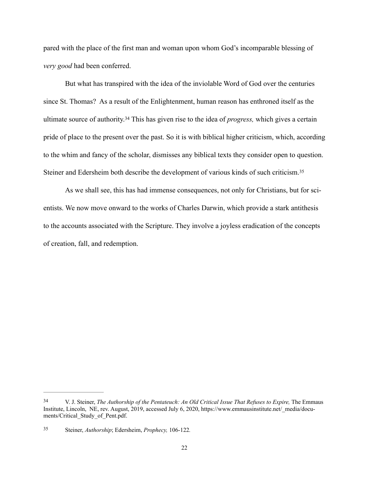pared with the place of the first man and woman upon whom God's incomparable blessing of *very good* had been conferred.

<span id="page-21-2"></span>But what has transpired with the idea of the inviolable Word of God over the centuries since St. Thomas? As a result of the Enlightenment, human reason has enthroned itself as the ultimate source of authority[.](#page-21-0)<sup>34</sup> This has given rise to the idea of *progress*, which gives a certain pride of place to the present over the past. So it is with biblical higher criticism, which, according to the whim and fancy of the scholar, dismisses any biblical texts they consider open to question. Steiner and Edersheim both describe the development of various kinds of such criticism.[35](#page-21-1)

<span id="page-21-3"></span>As we shall see, this has had immense consequences, not only for Christians, but for scientists. We now move onward to the works of Charles Darwin, which provide a stark antithesis to the accounts associated with the Scripture. They involve a joyless eradication of the concepts of creation, fall, and redemption.

<span id="page-21-0"></span>V. J. Steiner, *The Authorship of the Pentateuch: An Old Critical Issue That Refuses to Expire,* The Emmaus [34](#page-21-2) Institute, Lincoln, NE, rev. August, 2019, accessed July 6, 2020, https://www.emmausinstitute.net/\_media/documents/Critical\_Study\_of\_Pent.pdf.

<span id="page-21-1"></span>Steiner, *Authorship*; Edersheim, *Prophecy,* 106-122*.* [35](#page-21-3)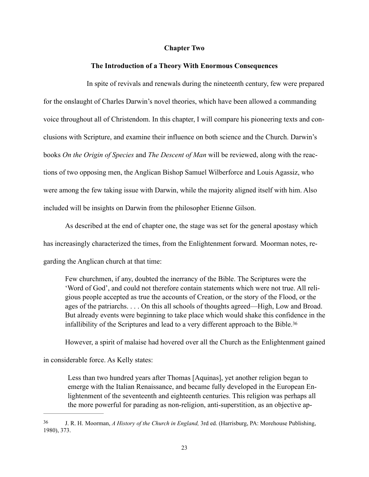#### **Chapter Two**

#### **The Introduction of a Theory With Enormous Consequences**

In spite of revivals and renewals during the nineteenth century, few were prepared for the onslaught of Charles Darwin's novel theories, which have been allowed a commanding voice throughout all of Christendom. In this chapter, I will compare his pioneering texts and conclusions with Scripture, and examine their influence on both science and the Church. Darwin's books *On the Origin of Species* and *The Descent of Man* will be reviewed, along with the reactions of two opposing men, the Anglican Bishop Samuel Wilberforce and Louis Agassiz, who were among the few taking issue with Darwin, while the majority aligned itself with him. Also included will be insights on Darwin from the philosopher Etienne Gilson.

As described at the end of chapter one, the stage was set for the general apostasy which has increasingly characterized the times, from the Enlightenment forward. Moorman notes, regarding the Anglican church at that time:

Few churchmen, if any, doubted the inerrancy of the Bible. The Scriptures were the 'Word of God', and could not therefore contain statements which were not true. All religious people accepted as true the accounts of Creation, or the story of the Flood, or the ages of the patriarchs. . . . On this all schools of thoughts agreed—High, Low and Broad. But already events were beginning to take place which would shake this confidence in the infallibility of the Scriptures and lead to a very different approach to the Bible.[36](#page-22-0)

<span id="page-22-1"></span>However, a spirit of malaise had hovered over all the Church as the Enlightenment gained

in considerable force. As Kelly states:

Less than two hundred years after Thomas [Aquinas], yet another religion began to emerge with the Italian Renaissance, and became fully developed in the European Enlightenment of the seventeenth and eighteenth centuries. This religion was perhaps all the more powerful for parading as non-religion, anti-superstition, as an objective ap-

<span id="page-22-0"></span>J. R. H. Moorman, *A History of the Church in England,* 3rd ed. (Harrisburg, PA: Morehouse Publishing, [36](#page-22-1) 1980), 373.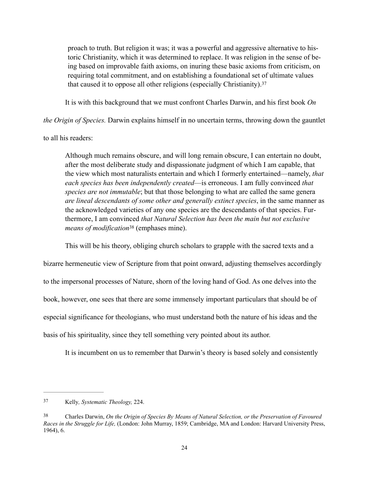proach to truth. But religion it was; it was a powerful and aggressive alternative to historic Christianity, which it was determined to replace. It was religion in the sense of being based on improvable faith axioms, on inuring these basic axioms from criticism, on requiring total commitment, and on establishing a foundational set of ultimate values that caused it to oppose all other religions (especially Christianity).37

It is with this background that we must confront Charles Darwin, and his first book *On* 

*the Origin of Species.* Darwin explains himself in no uncertain terms, throwing down the gauntlet

to all his readers:

Although much remains obscure, and will long remain obscure, I can entertain no doubt, after the most deliberate study and dispassionate judgment of which I am capable, that the view which most naturalists entertain and which I formerly entertained—namely, *that each species has been independently created*—is erroneous. I am fully convinced *that species are not immutable*; but that those belonging to what are called the same genera *are lineal descendants of some other and generally extinct species*, in the same manner as the acknowledged varieties of any one species are the descendants of that species. Furthermore, I am convinced *that Natural Selection has been the main but not exclusive means of modification*<sup>[38](#page-23-0)</sup> (emphases mine).

<span id="page-23-1"></span>This will be his theory, obliging church scholars to grapple with the sacred texts and a

bizarre hermeneutic view of Scripture from that point onward, adjusting themselves accordingly to the impersonal processes of Nature, shorn of the loving hand of God. As one delves into the book, however, one sees that there are some immensely important particulars that should be of especial significance for theologians, who must understand both the nature of his ideas and the basis of his spirituality, since they tell something very pointed about its author.

It is incumbent on us to remember that Darwin's theory is based solely and consistently

<sup>37</sup> Kelly*, Systematic Theology,* 224.

<span id="page-23-0"></span>Charles Darwin, *On the Origin of Species By Means of Natural Selection, or the Preservation of Favoured* [38](#page-23-1) *Races in the Struggle for Life,* (London: John Murray, 1859; Cambridge, MA and London: Harvard University Press, 1964), 6.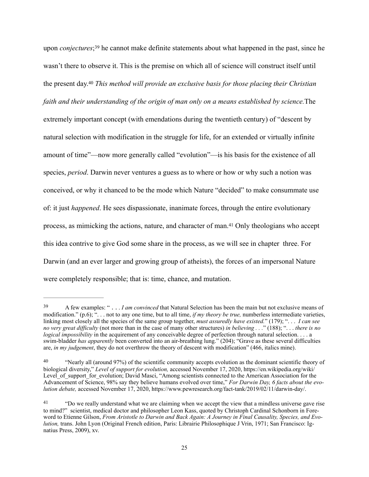<span id="page-24-4"></span><span id="page-24-3"></span>upon *conjectures*[;](#page-24-0)<sup>[39](#page-24-0)</sup> he cannot make definite statements about what happened in the past, since he wasn't there to observe it. This is the premise on which all of science will construct itself until the present day. *This method will provide an exclusive basis for those placing their Christian* [40](#page-24-1) *faith and their understanding of the origin of man only on a means established by science.*The extremely important concept (with emendations during the twentieth century) of "descent by natural selection with modification in the struggle for life, for an extended or virtually infinite

amount of time"—now more generally called "evolution"—is his basis for the existence of all

species, *period*. Darwin never ventures a guess as to where or how or why such a notion was

conceived, or why it chanced to be the mode which Nature "decided" to make consummate use

of: it just *happened*. He sees dispassionate, inanimate forces, through the entire evolutionary

<span id="page-24-5"></span>process,as mimicking the actions, nature, and character of man.<sup> $41$ </sup> Only theologians who accept

this idea contrive to give God some share in the process, as we will see in chapter three. For

Darwin (and an ever larger and growing group of atheists), the forces of an impersonal Nature

were completely responsible; that is: time, chance, and mutation.

<span id="page-24-0"></span>A few examples: " . . . *I am convinced* that Natural Selection has been the main but not exclusive means of [39](#page-24-3) modification." (p.6); "... not to any one time, but to all time, *if my theory be true*, numberless intermediate varieties, linking most closely all the species of the same group together, *must assuredly have existed.*" (179); ". . . *I can see no very great difficulty* (not more than in the case of many other structures) *in believing . . .*" (188); ". . . *there is no logical impossibility* in the acquirement of any conceivable degree of perfection through natural selection. . . . a swim-bladder *has apparently* been converted into an air-breathing lung." (204); "Grave as these several difficulties are, *in my judgement*, they do not overthrow the theory of descent with modification" (466, italics mine).

<span id="page-24-1"></span><sup>&</sup>lt;sup>[40](#page-24-4)</sup> "Nearly all (around 97%) of the scientific community accepts evolution as the dominant scientific theory of biological diversity," *Level of support for evolution,* accessed November 17, 2020, https://en.wikipedia.org/wiki/ Level\_of\_support\_for\_evolution; David Masci, "Among scientists connected to the American Association for the Advancement of Science, 98% say they believe humans evolved over time," *For Darwin Day, 6 facts about the evolution debate,* accessed November 17, 2020, https://www.pewresearch.org/fact-tank/2019/02/11/darwin-day/.

<span id="page-24-2"></span><sup>&</sup>lt;sup>[41](#page-24-5)</sup> "Do we really understand what we are claiming when we accept the view that a mindless universe gave rise to mind?" scientist, medical doctor and philosopher Leon Kass, quoted by Christoph Cardinal Schonborn in Foreword to Etienne Gilson, *From Aristotle to Darwin and Back Again: A Journey in Final Causality, Species, and Evolution,* trans. John Lyon (Original French edition, Paris: Librairie Philosophique J Vrin, 1971; San Francisco: Ignatius Press, 2009), xv.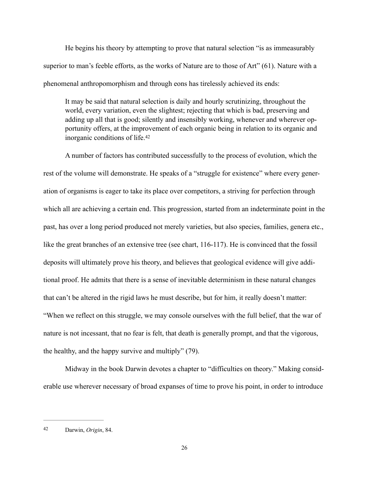He begins his theory by attempting to prove that natural selection "is as immeasurably superior to man's feeble efforts, as the works of Nature are to those of Art" (61). Nature with a phenomenal anthropomorphism and through eons has tirelessly achieved its ends:

<span id="page-25-1"></span>It may be said that natural selection is daily and hourly scrutinizing, throughout the world, every variation, even the slightest; rejecting that which is bad, preserving and adding up all that is good; silently and insensibly working, whenever and wherever opportunity offers, at the improvement of each organic being in relation to its organic and inorganic conditions of life[.42](#page-25-0)

A number of factors has contributed successfully to the process of evolution, which the rest of the volume will demonstrate. He speaks of a "struggle for existence" where every generation of organisms is eager to take its place over competitors, a striving for perfection through which all are achieving a certain end. This progression, started from an indeterminate point in the past, has over a long period produced not merely varieties, but also species, families, genera etc., like the great branches of an extensive tree (see chart, 116-117). He is convinced that the fossil deposits will ultimately prove his theory, and believes that geological evidence will give additional proof. He admits that there is a sense of inevitable determinism in these natural changes that can't be altered in the rigid laws he must describe, but for him, it really doesn't matter: "When we reflect on this struggle, we may console ourselves with the full belief, that the war of nature is not incessant, that no fear is felt, that death is generally prompt, and that the vigorous, the healthy, and the happy survive and multiply" (79).

Midway in the book Darwin devotes a chapter to "difficulties on theory." Making considerable use wherever necessary of broad expanses of time to prove his point, in order to introduce

<span id="page-25-0"></span>[<sup>42</sup>](#page-25-1) Darwin, *Origin*, 84.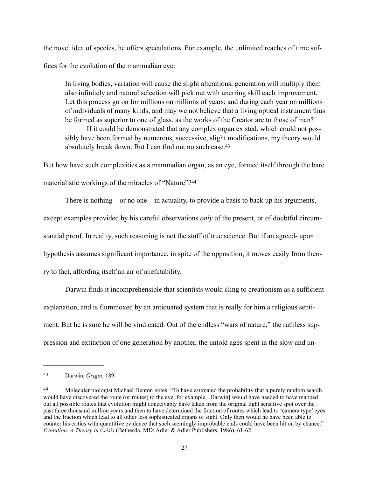the novel idea of species, he offers speculations. For example, the unlimited reaches of time suf-

fices for the evolution of the mammalian eye:

In living bodies, variation will cause the slight alterations, generation will multiply them also infinitely and natural selection will pick out with unerring skill each improvement. Let this process go on for millions on millions of years; and during each year on millions of individuals of many kinds; and may we not believe that a living optical instrument thus be formed as superior to one of glass, as the works of the Creator are to those of man?

<span id="page-26-2"></span>If it could be demonstrated that any complex organ existed, which could not possibly have been formed by numerous, successive, slight modifications, my theory would absolutely break down. But I can find out no such case. [43](#page-26-0)

But how have such complexities as a mammalian organ, as an eye, formed itself through the bare

materialistic workings of the miracles of "Nature"?[44](#page-26-1)

<span id="page-26-3"></span>There is nothing—or no one—in actuality, to provide a basis to back up his arguments,

except examples provided by his careful observations *only* of the present, or of doubtful circum-

stantial proof. In reality, such reasoning is not the stuff of true science. But if an agreed- upon

hypothesis assumes significant importance, in spite of the opposition, it moves easily from theo-

ry to fact, affording itself an air of irrefutability.

Darwin finds it incomprehensible that scientists would cling to creationism as a sufficient explanation, and is flummoxed by an antiquated system that is really for him a religious sentiment. But he is sure he will be vindicated. Out of the endless "wars of nature," the ruthless suppression and extinction of one generation by another, the untold ages spent in the slow and un-

<span id="page-26-0"></span>Darwin, *Origin*, 189. [43](#page-26-2)

<span id="page-26-1"></span>Molecular biologist Michael Denton notes: "To have estimated the probability that a purely random search [44](#page-26-3) would have discovered the route (or routes) to the eye, for example, [Darwin] would have needed to have mapped out all possible routes that evolution might conceivably have taken from the original light sensitive spot over the past three thousand million years and then to have determined the fraction of routes which lead to 'camera type' eyes and the fraction which lead to all other less sophisticated organs of sight. Only then would he have been able to counter his critics with quantitive evidence that such seemingly improbable ends could have been hit on by chance." *Evolution: A Theory in Crisis* (Bethesda, MD: Adler & Adler Publishers, 1986), 61-62.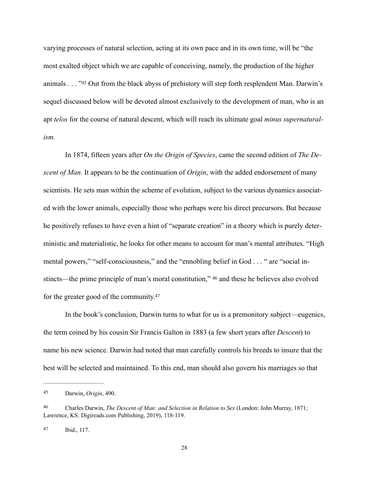<span id="page-27-3"></span>varying processes of natural selection, acting at its own pace and in its own time, will be "the most exalted object which we are capable of conceiving, namely, the production of the higher animals. . . "[45](#page-27-0) Out from the black abyss of prehistory will step forth resplendent Man. Darwin's sequel discussed below will be devoted almost exclusively to the development of man, who is an apt *telos* for the course of natural descent, which will reach its ultimate goal *minus supernaturalism.*

In 1874, fifteen years after *On the Origin of Species*, came the second edition of *The Descent of Man.* It appears to be the continuation of *Origin*, with the added endorsement of many scientists. He sets man within the scheme of evolution, subject to the various dynamics associated with the lower animals, especially those who perhaps were his direct precursors. But because he positively refuses to have even a hint of "separate creation" in a theory which is purely deterministic and materialistic, he looks for other means to account for man's mental attributes. "High mental powers," "self-consciousness," and the "ennobling belief in God . . . " are "social in-stincts—the prime principle of man's moral constitution," [46](#page-27-1) and these he believes also evolved for the greater good of the community.[47](#page-27-2)

<span id="page-27-5"></span><span id="page-27-4"></span>In the book's conclusion, Darwin turns to what for us is a premonitory subject—eugenics, the term coined by his cousin Sir Francis Galton in 1883 (a few short years after *Descent*) to name his new science. Darwin had noted that man carefully controls his breeds to insure that the best will be selected and maintained. To this end, man should also govern his marriages so that

<span id="page-27-0"></span>Darwin, *Origin*, 490. [45](#page-27-3)

<span id="page-27-1"></span>Charles Darwin, *The Descent of Man: and Selection in Relation to Sex* (London: John Murray, 1871; [46](#page-27-4) Lawrence, KS: Digireads.com Publishing, 2019), 118-119.

<span id="page-27-2"></span>Ibid., 117. [47](#page-27-5)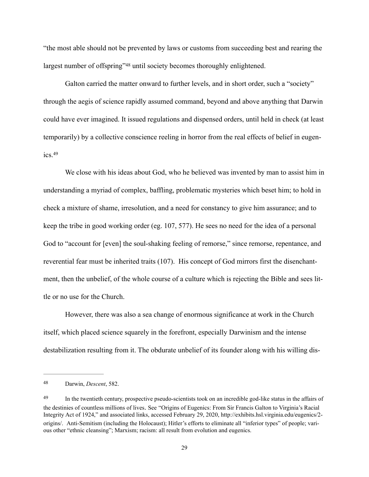<span id="page-28-2"></span>"the most able should not be prevented by laws or customs from succeeding best and rearing the largestnumber of offspring"<sup>48</sup> until society becomes thoroughly enlightened.

Galton carried the matter onward to further levels, and in short order, such a "society" through the aegis of science rapidly assumed command, beyond and above anything that Darwin could have ever imagined. It issued regulations and dispensed orders, until held in check (at least temporarily) by a collective conscience reeling in horror from the real effects of belief in eugenics[.49](#page-28-1)

<span id="page-28-3"></span>We close with his ideas about God, who he believed was invented by man to assist him in understanding a myriad of complex, baffling, problematic mysteries which beset him; to hold in check a mixture of shame, irresolution, and a need for constancy to give him assurance; and to keep the tribe in good working order (eg. 107, 577). He sees no need for the idea of a personal God to "account for [even] the soul-shaking feeling of remorse," since remorse, repentance, and reverential fear must be inherited traits (107). His concept of God mirrors first the disenchantment, then the unbelief, of the whole course of a culture which is rejecting the Bible and sees little or no use for the Church.

However, there was also a sea change of enormous significance at work in the Church itself, which placed science squarely in the forefront, especially Darwinism and the intense destabilization resulting from it. The obdurate unbelief of its founder along with his willing dis-

<span id="page-28-0"></span>Darwin, *Descent*, 582. [48](#page-28-2)

<span id="page-28-1"></span><sup>&</sup>lt;sup>[49](#page-28-3)</sup> In the twentieth century, prospective pseudo-scientists took on an incredible god-like status in the affairs of the destinies of countless millions of lives. See "Origins of Eugenics: From Sir Francis Galton to Virginia's Racial Integrity Act of 1924," and associated links, accessed February 29, 2020, [http://exhibits.hsl.virginia.edu/eugenics/2](http://exhibits.hsl.virginia.edu/eugenics/2-origins/) [origins/.](http://exhibits.hsl.virginia.edu/eugenics/2-origins/) Anti-Semitism (including the Holocaust); Hitler's efforts to eliminate all "inferior types" of people; various other "ethnic cleansing"; Marxism; racism: all result from evolution and eugenics.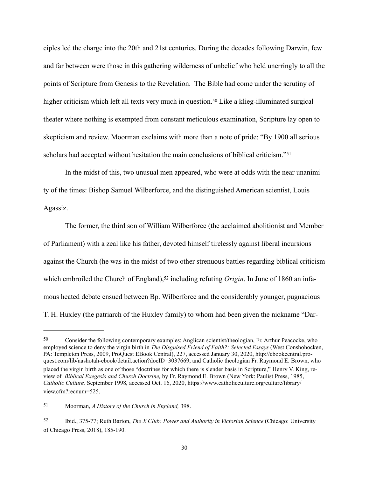<span id="page-29-3"></span>ciples led the charge into the 20th and 21st centuries. During the decades following Darwin, few and far between were those in this gathering wilderness of unbelief who held unerringly to all the points of Scripture from Genesis to the Revelation. The Bible had come under the scrutiny of highercriticism which left all texts very much in question.<sup>[50](#page-29-0)</sup> Like a klieg-illuminated surgical theater where nothing is exempted from constant meticulous examination, Scripture lay open to skepticism and review. Moorman exclaims with more than a note of pride: "By 1900 all serious scholars had accepted without hesitation the main conclusions of biblical criticism."[51](#page-29-1)

<span id="page-29-4"></span>In the midst of this, two unusual men appeared, who were at odds with the near unanimity of the times: Bishop Samuel Wilberforce, and the distinguished American scientist, Louis Agassiz.

<span id="page-29-5"></span>The former, the third son of William Wilberforce (the acclaimed abolitionist and Member of Parliament) with a zeal like his father, devoted himself tirelessly against liberal incursions against the Church (he was in the midst of two other strenuous battles regarding biblical criticism which embroiled the Church of England),<sup>52</sup> including refuting *Origin*. In June of 1860 an infamous heated debate ensued between Bp. Wilberforce and the considerably younger, pugnacious T. H. Huxley (the patriarch of the Huxley family) to whom had been given the nickname "Dar-

<span id="page-29-0"></span>Consider the following contemporary examples: Anglican scientist/theologian, Fr. Arthur Peacocke, who [50](#page-29-3) employed science to deny the virgin birth in *The Disguised Friend of Faith?: Selected Essays* (West Conshohocken, PA: Templeton Press, 2009, ProQuest EBook Central), 227, accessed January 30, 2020, http://ebookcentral.proquest.com/lib/nashotah-ebook/detail.action?docID=3037669, and Catholic theologian Fr. Raymond E. Brown, who placed the virgin birth as one of those "doctrines for which there is slender basis in Scripture," Henry V. King, review of *Biblical Exegesis and Church Doctrine,* by Fr. Raymond E. Brown (New York: Paulist Press, 1985, *Catholic Culture,* September 1998*,* accessed Oct. 16, 2020, https://www.catholicculture.org/culture/library/ view.cfm?recnum=525.

<span id="page-29-1"></span>Moorman, *A History of the Church in England,* 398. [51](#page-29-4)

<span id="page-29-2"></span>Ibid., 375-77; Ruth Barton, *The X Club: Power and Authority in Victorian Science* (Chicago: University [52](#page-29-5) of Chicago Press, 2018), 185-190.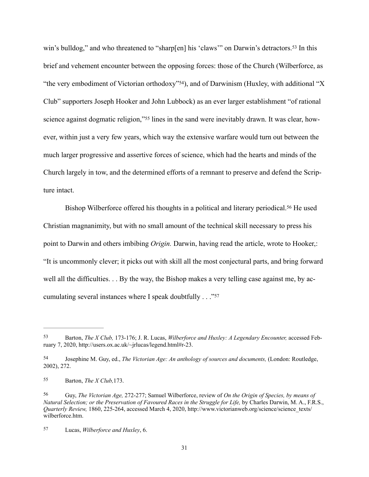<span id="page-30-7"></span><span id="page-30-6"></span><span id="page-30-5"></span>win'sbulldog," and who threatened to "sharp[en] his 'claws'" on Darwin's detractors.<sup>[53](#page-30-0)</sup> In this brief and vehement encounter between the opposing forces: those of the Church (Wilberforce, as "the very embodiment of Victorian orthodoxy"<sup>[54](#page-30-1)</sup>), and of Darwinism (Huxley, with additional "X Club" supporters Joseph Hooker and John Lubbock) as an ever larger establishment "of rational science against dogmatic religion,"[55](#page-30-2) lines in the sand were inevitably drawn. It was clear, however, within just a very few years, which way the extensive warfare would turn out between the much larger progressive and assertive forces of science, which had the hearts and minds of the Church largely in tow, and the determined efforts of a remnant to preserve and defend the Scripture intact.

<span id="page-30-8"></span>BishopWilberforce offered his thoughts in a political and literary periodical.<sup>[56](#page-30-3)</sup> He used Christian magnanimity, but with no small amount of the technical skill necessary to press his point to Darwin and others imbibing *Origin.* Darwin, having read the article, wrote to Hooker,: "It is uncommonly clever; it picks out with skill all the most conjectural parts, and bring forward well all the difficulties. . . By the way, the Bishop makes a very telling case against me, by accumulating several instances where I speak doubtfully . . ."[57](#page-30-4)

<span id="page-30-9"></span><span id="page-30-0"></span>Barton, *The X Club, 173-176; J. R. Lucas, Wilberforce and Huxley: A Legendary Encounter, accessed Feb*ruary 7, 2020, [http://users.ox.ac.uk/~jrlucas/legend.html#r-23.](http://users.ox.ac.uk/~jrlucas/legend.html%25252523r-23)

<span id="page-30-1"></span>Josephine M. Guy, ed., *The Victorian Age: An anthology of sources and documents,* (London: Routledge, [54](#page-30-6) 2002), 272.

<span id="page-30-2"></span>Barton, *The X Club,*173. [55](#page-30-7)

<span id="page-30-3"></span>Guy, *The Victorian Age,* 272-277; Samuel Wilberforce, review of *On the Origin of Species, by means of* [56](#page-30-8) *Natural Selection; or the Preservation of Favoured Races in the Struggle for Life,* by Charles Darwin, M. A., F.R.S., *Quarterly Review,* 1860, 225-264, accessed March 4, 2020, [http://www.victorianweb.org/science/science\\_texts/](http://www.victorianweb.org/science/science_texts/wilberforce.htm) [wilberforce.htm](http://www.victorianweb.org/science/science_texts/wilberforce.htm).

<span id="page-30-4"></span>[<sup>57</sup>](#page-30-9) Lucas, *Wilberforce and Huxley*, 6.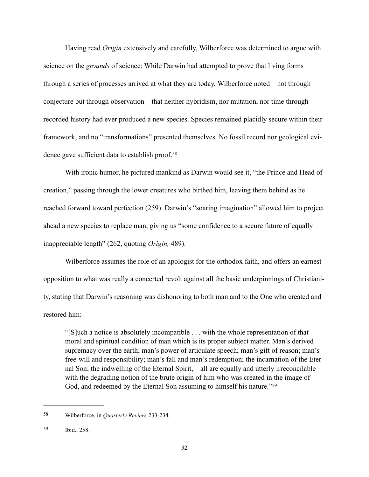Having read *Origin* extensively and carefully, Wilberforce was determined to argue with science on the *grounds* of science: While Darwin had attempted to prove that living forms through a series of processes arrived at what they are today, Wilberforce noted—not through conjecture but through observation—that neither hybridism, nor mutation, nor time through recorded history had ever produced a new species. Species remained placidly secure within their framework, and no "transformations" presented themselves. No fossil record nor geological evidence gave sufficient data to establish proof[.58](#page-31-0)

<span id="page-31-2"></span>With ironic humor, he pictured mankind as Darwin would see it, "the Prince and Head of creation," passing through the lower creatures who birthed him, leaving them behind as he reached forward toward perfection (259). Darwin's "soaring imagination" allowed him to project ahead a new species to replace man, giving us "some confidence to a secure future of equally inappreciable length" (262, quoting *Origin,* 489).

Wilberforce assumes the role of an apologist for the orthodox faith, and offers an earnest opposition to what was really a concerted revolt against all the basic underpinnings of Christianity, stating that Darwin's reasoning was dishonoring to both man and to the One who created and restored him:

<span id="page-31-3"></span>"[S]uch a notice is absolutely incompatible . . . with the whole representation of that moral and spiritual condition of man which is its proper subject matter. Man's derived supremacy over the earth; man's power of articulate speech; man's gift of reason; man's free-will and responsibility; man's fall and man's redemption; the incarnation of the Eternal Son; the indwelling of the Eternal Spirit,—all are equally and utterly irreconcilable with the degrading notion of the brute origin of him who was created in the image of God, and redeemed by the Eternal Son assuming to himself his nature."[59](#page-31-1)

<span id="page-31-0"></span>Wilberforce, in *Quarterly Review,* 233-234. [58](#page-31-2)

<span id="page-31-1"></span>Ibid., 258. [59](#page-31-3)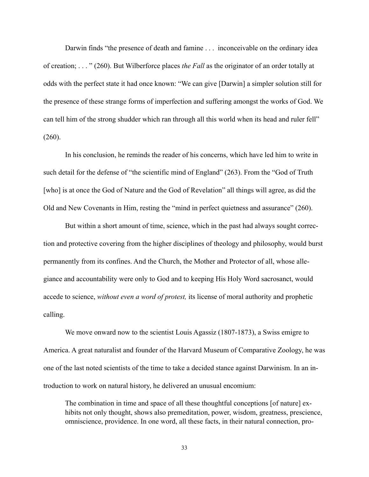Darwin finds "the presence of death and famine . . . inconceivable on the ordinary idea of creation; . . . " (260). But Wilberforce places *the Fall* as the originator of an order totally at odds with the perfect state it had once known: "We can give [Darwin] a simpler solution still for the presence of these strange forms of imperfection and suffering amongst the works of God. We can tell him of the strong shudder which ran through all this world when its head and ruler fell"  $(260)$ .

In his conclusion, he reminds the reader of his concerns, which have led him to write in such detail for the defense of "the scientific mind of England" (263). From the "God of Truth [who] is at once the God of Nature and the God of Revelation" all things will agree, as did the Old and New Covenants in Him, resting the "mind in perfect quietness and assurance" (260).

But within a short amount of time, science, which in the past had always sought correction and protective covering from the higher disciplines of theology and philosophy, would burst permanently from its confines. And the Church, the Mother and Protector of all, whose allegiance and accountability were only to God and to keeping His Holy Word sacrosanct, would accede to science, *without even a word of protest,* its license of moral authority and prophetic calling.

We move onward now to the scientist Louis Agassiz (1807-1873), a Swiss emigre to America. A great naturalist and founder of the Harvard Museum of Comparative Zoology, he was one of the last noted scientists of the time to take a decided stance against Darwinism. In an introduction to work on natural history, he delivered an unusual encomium:

The combination in time and space of all these thoughtful conceptions [of nature] exhibits not only thought, shows also premeditation, power, wisdom, greatness, prescience, omniscience, providence. In one word, all these facts, in their natural connection, pro-

33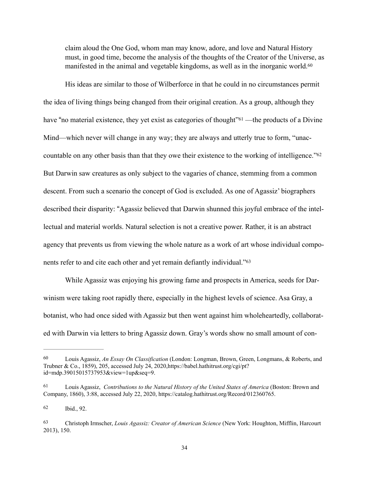<span id="page-33-6"></span><span id="page-33-5"></span><span id="page-33-4"></span>claim aloud the One God, whom man may know, adore, and love and Natural History must, in good time, become the analysis of the thoughts of the Creator of the Universe, as manifested in the animal and vegetable kingdoms, as well as in the inorganic world.<sup>[60](#page-33-0)</sup>

His ideas are similar to those of Wilberforce in that he could in no circumstances permit the idea of living things being changed from their original creation. As a group, although they have "no material existence, they yet exist as categories of thought"<sup>61</sup> —the products of a Divine Mind—which never will change in any way; they are always and utterly true to form, "unaccountable on any other basis than that they owe their existence to the working of intelligence."[62](#page-33-2) But Darwin saw creatures as only subject to the vagaries of chance, stemming from a common descent. From such a scenario the concept of God is excluded. As one of Agassiz' biographers described their disparity: "Agassiz believed that Darwin shunned this joyful embrace of the intellectual and material worlds. Natural selection is not a creative power. Rather, it is an abstract agency that prevents us from viewing the whole nature as a work of art whose individual components refer to and cite each other and yet remain defiantly individual."[63](#page-33-3)

<span id="page-33-7"></span>While Agassiz was enjoying his growing fame and prospects in America, seeds for Darwinism were taking root rapidly there, especially in the highest levels of science. Asa Gray, a botanist, who had once sided with Agassiz but then went against him wholeheartedly, collaborated with Darwin via letters to bring Agassiz down. Gray's words show no small amount of con-

<span id="page-33-0"></span>Louis Agassiz, *An Essay On Classification* (London: Longman, Brown, Green, Longmans, & Roberts, and [60](#page-33-4) Trubner & Co., 1859), 205, accessed July 24, 2020,https://babel.hathitrust.org/cgi/pt? id=mdp.39015015737953&view=1up&seq=9.

<span id="page-33-1"></span>Louis Agassiz, *Contributions to the Natural History of the United States of America* (Boston: Brown and [61](#page-33-5) Company, 1860), 3:88, accessed July 22, 2020, [https://catalog.hathitrust.org/Record/012360765.](https://catalog.hathitrust.org/Record/012360765)

<span id="page-33-2"></span>Ibid., 92. [62](#page-33-6)

<span id="page-33-3"></span>Christoph Irmscher, *Louis Agassiz: Creator of American Science* (New York: Houghton, Mifflin, Harcourt [63](#page-33-7) 2013), 150.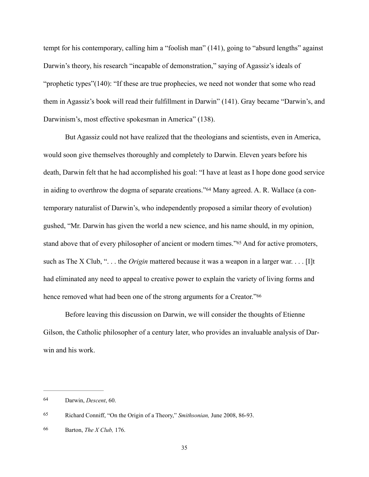tempt for his contemporary, calling him a "foolish man" (141), going to "absurd lengths" against Darwin's theory, his research "incapable of demonstration," saying of Agassiz's ideals of "prophetic types" (140): "If these are true prophecies, we need not wonder that some who read them in Agassiz's book will read their fulfillment in Darwin" (141). Gray became "Darwin's, and Darwinism's, most effective spokesman in America" (138).

<span id="page-34-3"></span>But Agassiz could not have realized that the theologians and scientists, even in America, would soon give themselves thoroughly and completely to Darwin. Eleven years before his death, Darwin felt that he had accomplished his goal: "I have at least as I hope done good service in aiding to overthrow the dogma of separate creations.["64](#page-34-0) Many agreed. A. R. Wallace (a contemporary naturalist of Darwin's, who independently proposed a similar theory of evolution) gushed, "Mr. Darwin has given the world a new science, and his name should, in my opinion, standabove that of every philosopher of ancient or modern times."<sup>[65](#page-34-1)</sup> And for active promoters, such as The X Club, ". . . the *Origin* mattered because it was a weapon in a larger war. . . . [I]t had eliminated any need to appeal to creative power to explain the variety of living forms and hence removed what had been one of the strong arguments for a Creator."<sup>[66](#page-34-2)</sup>

<span id="page-34-5"></span><span id="page-34-4"></span>Before leaving this discussion on Darwin, we will consider the thoughts of Etienne Gilson, the Catholic philosopher of a century later, who provides an invaluable analysis of Darwin and his work.

<span id="page-34-0"></span>[<sup>64</sup>](#page-34-3) Darwin, *Descent*, 60.

<span id="page-34-1"></span>Richard Conniff, "On the Origin of a Theory," *Smithsonian,* June 2008, 86-93. [65](#page-34-4)

<span id="page-34-2"></span>Barton, *The X Club,* 176. [66](#page-34-5)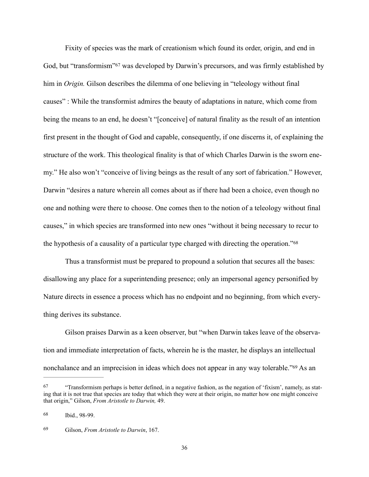<span id="page-35-3"></span>Fixity of species was the mark of creationism which found its order, origin, and end in God,but "transformism"<sup>[67](#page-35-0)</sup> was developed by Darwin's precursors, and was firmly established by him in *Origin.* Gilson describes the dilemma of one believing in "teleology without final causes" : While the transformist admires the beauty of adaptations in nature, which come from being the means to an end, he doesn't "[conceive] of natural finality as the result of an intention first present in the thought of God and capable, consequently, if one discerns it, of explaining the structure of the work. This theological finality is that of which Charles Darwin is the sworn enemy." He also won't "conceive of living beings as the result of any sort of fabrication." However, Darwin "desires a nature wherein all comes about as if there had been a choice, even though no one and nothing were there to choose. One comes then to the notion of a teleology without final causes," in which species are transformed into new ones "without it being necessary to recur to the hypothesis of a causality of a particular type charged with directing the operation."[68](#page-35-1)

<span id="page-35-4"></span>Thus a transformist must be prepared to propound a solution that secures all the bases: disallowing any place for a superintending presence; only an impersonal agency personified by Nature directs in essence a process which has no endpoint and no beginning, from which everything derives its substance.

Gilson praises Darwin as a keen observer, but "when Darwin takes leave of the observation and immediate interpretation of facts, wherein he is the master, he displays an intellectual nonchalanceand an imprecision in ideas which does not appear in any way tolerable."<sup>[69](#page-35-2)</sup> As an

<span id="page-35-5"></span><span id="page-35-0"></span><sup>&</sup>quot;Transformism perhaps is better defined, in a negative fashion, as the negation of 'fixism', namely, as stating that it is not true that species are today that which they were at their origin, no matter how one might conceive that origin," Gilson, *From Aristotle to Darwin,* 49.

<span id="page-35-1"></span>Ibid., 98-99. [68](#page-35-4)

<span id="page-35-2"></span>Gilson, *From Aristotle to Darwin*, 167. [69](#page-35-5)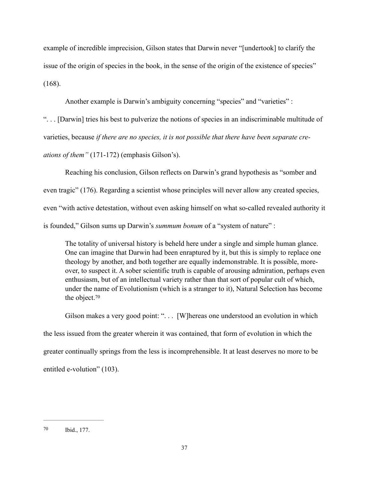example of incredible imprecision, Gilson states that Darwin never "[undertook] to clarify the issue of the origin of species in the book, in the sense of the origin of the existence of species" (168).

Another example is Darwin's ambiguity concerning "species" and "varieties" :

". . . [Darwin] tries his best to pulverize the notions of species in an indiscriminable multitude of

varieties, because *if there are no species, it is not possible that there have been separate cre-*

*ations of them"* (171-172) (emphasis Gilson's).

Reaching his conclusion, Gilson reflects on Darwin's grand hypothesis as "somber and even tragic" (176). Regarding a scientist whose principles will never allow any created species, even "with active detestation, without even asking himself on what so-called revealed authority it is founded," Gilson sums up Darwin's *summum bonum* of a "system of nature" :

The totality of universal history is beheld here under a single and simple human glance. One can imagine that Darwin had been enraptured by it, but this is simply to replace one theology by another, and both together are equally indemonstrable. It is possible, moreover, to suspect it. A sober scientific truth is capable of arousing admiration, perhaps even enthusiasm, but of an intellectual variety rather than that sort of popular cult of which, under the name of Evolutionism (which is a stranger to it), Natural Selection has become the object.[70](#page-36-0)

<span id="page-36-1"></span>Gilson makes a very good point: "... [W]hereas one understood an evolution in which the less issued from the greater wherein it was contained, that form of evolution in which the greater continually springs from the less is incomprehensible. It at least deserves no more to be entitled e-volution" (103).

<span id="page-36-0"></span>[<sup>70</sup>](#page-36-1) Ibid., 177.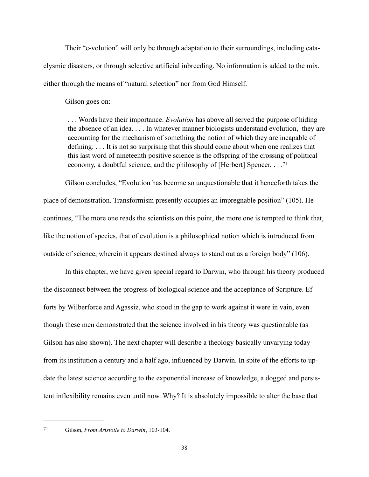Their "e-volution" will only be through adaptation to their surroundings, including cataclysmic disasters, or through selective artificial inbreeding. No information is added to the mix, either through the means of "natural selection" nor from God Himself.

Gilson goes on:

<span id="page-37-1"></span>. . . Words have their importance. *Evolution* has above all served the purpose of hiding the absence of an idea. . . . In whatever manner biologists understand evolution, they are accounting for the mechanism of something the notion of which they are incapable of defining. . . . It is not so surprising that this should come about when one realizes that this last word of nineteenth positive science is the offspring of the crossing of political economy, a doubtful science, and the philosophy of [Herbert] Spencer, . . [.71](#page-37-0)

Gilson concludes, "Evolution has become so unquestionable that it henceforth takes the place of demonstration. Transformism presently occupies an impregnable position" (105). He continues, "The more one reads the scientists on this point, the more one is tempted to think that, like the notion of species, that of evolution is a philosophical notion which is introduced from outside of science, wherein it appears destined always to stand out as a foreign body" (106).

In this chapter, we have given special regard to Darwin, who through his theory produced the disconnect between the progress of biological science and the acceptance of Scripture. Efforts by Wilberforce and Agassiz, who stood in the gap to work against it were in vain, even though these men demonstrated that the science involved in his theory was questionable (as Gilson has also shown). The next chapter will describe a theology basically unvarying today from its institution a century and a half ago, influenced by Darwin. In spite of the efforts to update the latest science according to the exponential increase of knowledge, a dogged and persistent inflexibility remains even until now. Why? It is absolutely impossible to alter the base that

<span id="page-37-0"></span>

Gilson, *From Aristotle to Darwin*, 103-104. [71](#page-37-1)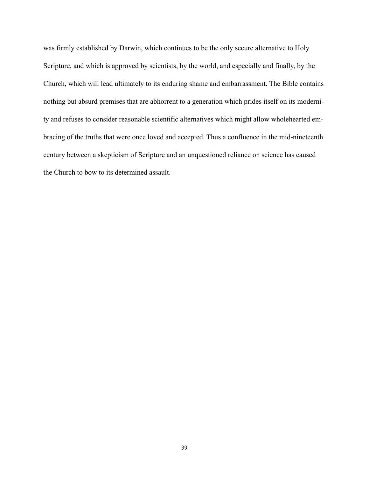was firmly established by Darwin, which continues to be the only secure alternative to Holy Scripture, and which is approved by scientists, by the world, and especially and finally, by the Church, which will lead ultimately to its enduring shame and embarrassment. The Bible contains nothing but absurd premises that are abhorrent to a generation which prides itself on its modernity and refuses to consider reasonable scientific alternatives which might allow wholehearted embracing of the truths that were once loved and accepted. Thus a confluence in the mid-nineteenth century between a skepticism of Scripture and an unquestioned reliance on science has caused the Church to bow to its determined assault.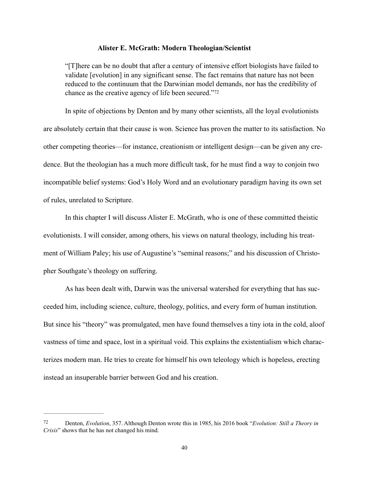#### <span id="page-39-1"></span>**Alister E. McGrath: Modern Theologian/Scientist**

"[T]here can be no doubt that after a century of intensive effort biologists have failed to validate [evolution] in any significant sense. The fact remains that nature has not been reduced to the continuum that the Darwinian model demands, nor has the credibility of chance as the creative agency of life been secured."[72](#page-39-0)

In spite of objections by Denton and by many other scientists, all the loyal evolutionists are absolutely certain that their cause is won. Science has proven the matter to its satisfaction. No other competing theories—for instance, creationism or intelligent design—can be given any credence. But the theologian has a much more difficult task, for he must find a way to conjoin two incompatible belief systems: God's Holy Word and an evolutionary paradigm having its own set of rules, unrelated to Scripture.

In this chapter I will discuss Alister E. McGrath, who is one of these committed theistic evolutionists. I will consider, among others, his views on natural theology, including his treatment of William Paley; his use of Augustine's "seminal reasons;" and his discussion of Christopher Southgate's theology on suffering.

As has been dealt with, Darwin was the universal watershed for everything that has succeeded him, including science, culture, theology, politics, and every form of human institution. But since his "theory" was promulgated, men have found themselves a tiny iota in the cold, aloof vastness of time and space, lost in a spiritual void. This explains the existentialism which characterizes modern man. He tries to create for himself his own teleology which is hopeless, erecting instead an insuperable barrier between God and his creation.

<span id="page-39-0"></span>Denton, *Evolution*, 357. Although Denton wrote this in 1985, his 2016 book "*Evolution: Still a Theory in* [72](#page-39-1) *Crisis*" shows that he has not changed his mind.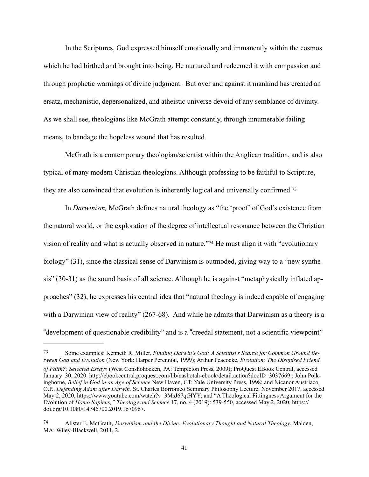In the Scriptures, God expressed himself emotionally and immanently within the cosmos which he had birthed and brought into being. He nurtured and redeemed it with compassion and through prophetic warnings of divine judgment. But over and against it mankind has created an ersatz, mechanistic, depersonalized, and atheistic universe devoid of any semblance of divinity. As we shall see, theologians like McGrath attempt constantly, through innumerable failing means, to bandage the hopeless wound that has resulted.

McGrath is a contemporary theologian/scientist within the Anglican tradition, and is also typical of many modern Christian theologians. Although professing to be faithful to Scripture, they are also convinced that evolution is inherently logical and universally confirmed.[73](#page-40-0)

<span id="page-40-3"></span><span id="page-40-2"></span>In *Darwinism,* McGrath defines natural theology as "the 'proof' of God's existence from the natural world, or the exploration of the degree of intellectual resonance between the Christian visionof reality and what is actually observed in nature."<sup>[74](#page-40-1)</sup> He must align it with "evolutionary biology" (31), since the classical sense of Darwinism is outmoded, giving way to a "new synthesis" (30-31) as the sound basis of all science. Although he is against "metaphysically inflated approaches" (32), he expresses his central idea that "natural theology is indeed capable of engaging with a Darwinian view of reality" (267-68). And while he admits that Darwinism as a theory is a "development of questionable credibility" and is a "creedal statement, not a scientific viewpoint"

<span id="page-40-0"></span>Some examples: Kenneth R. Miller, *Finding Darwin's God: A Scientist's Search for Common Ground Be* [73](#page-40-2)  *tween God and Evolution* (New York: Harper Perennial, 1999); Arthur Peacocke, *Evolution: The Disguised Friend of Faith?; Selected Essays* (West Conshohocken, PA: Templeton Press, 2009); ProQuest EBook Central, accessed January 30, 2020. http://ebookcentral.proquest.com/lib/nashotah-ebook/detail.action?docID=3037669.; John Polkinghorne, *Belief in God in an Age of Science* New Haven, CT: Yale University Press, 1998; and Nicanor Austriaco*,*  O.P., *Defending Adam after Darwin,* St. Charles Borromeo Seminary Philosophy Lecture, November 2017, accessed May 2, 2020, https://www.youtube.com/watch?v=3MsJ67qtHYY; and "A Theological Fittingness Argument for the Evolution of *Homo Sapiens," Theology and Science* 17, no. 4 (2019): 539-550, accessed May 2, 2020, https:// doi.org/10.1080/14746700.2019.1670967.

<span id="page-40-1"></span>Alister E. McGrath, *Darwinism and the Divine: Evolutionary Thought and Natural Theology*, Malden, [74](#page-40-3) MA: Wiley-Blackwell, 2011, 2.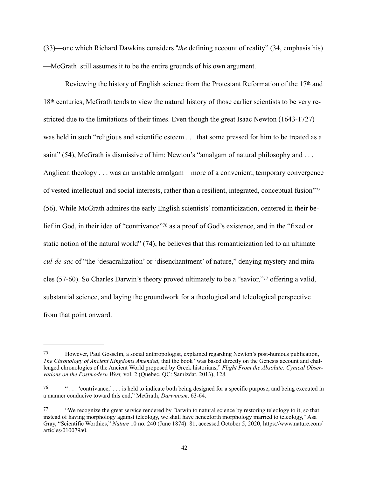(33)—one which Richard Dawkins considers "*the* defining account of reality" (34, emphasis his) —McGrath still assumes it to be the entire grounds of his own argument.

<span id="page-41-3"></span>Reviewing the history of English science from the Protestant Reformation of the 17<sup>th</sup> and 18th centuries, McGrath tends to view the natural history of those earlier scientists to be very restricted due to the limitations of their times. Even though the great Isaac Newton (1643-1727) was held in such "religious and scientific esteem . . . that some pressed for him to be treated as a saint" (54), McGrath is dismissive of him: Newton's "amalgam of natural philosophy and . . . Anglican theology . . . was an unstable amalgam—more of a convenient, temporary convergence of vested intellectual and social interests, rather than a resilient, integrated, conceptual fusion["75](#page-41-0) (56). While McGrath admires the early English scientists' romanticization, centered in their be-liefin God, in their idea of "contrivance"<sup>[76](#page-41-1)</sup> as a proof of God's existence, and in the "fixed or static notion of the natural world" (74), he believes that this romanticization led to an ultimate *cul-de-sac* of "the 'desacralization' or 'disenchantment' of nature," denying mystery and mira-cles (57-60). So Charles Darwin's theory proved ultimately to be a ["](#page-41-2)savior,"<sup>[77](#page-41-2)</sup> offering a valid, substantial science, and laying the groundwork for a theological and teleological perspective from that point onward.

<span id="page-41-5"></span><span id="page-41-4"></span><span id="page-41-0"></span>However, Paul Gosselin, a social anthropologist, explained regarding Newton's post-humous publication, [75](#page-41-3) *The Chronology of Ancient Kingdoms Amended*, that the book "was based directly on the Genesis account and challenged chronologies of the Ancient World proposed by Greek historians," *Flight From the Absolute: Cynical Observations on the Postmodern West,* vol. 2 (Quebec, QC: Samizdat, 2013), 128.

<span id="page-41-1"></span><sup>&</sup>lt;sup>[76](#page-41-4)</sup> "... 'contrivance,'... is held to indicate both being designed for a specific purpose, and being executed in a manner conducive toward this end," McGrath, *Darwinism,* 63-64.

<span id="page-41-2"></span><sup>&</sup>quot;We recognize the great service rendered by Darwin to natural science by restoring teleology to it, so that instead of having morphology against teleology, we shall have henceforth morphology married to teleology," Asa Gray, "Scientific Worthies," *Nature* 10 no. 240 (June 1874): 81, accessed October 5, 2020, https://www.nature.com/ articles/010079a0.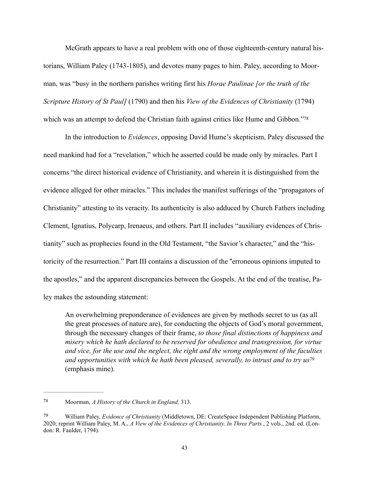McGrath appears to have a real problem with one of those eighteenth-century natural historians, William Paley (1743-1805), and devotes many pages to him. Paley, according to Moorman, was "busy in the northern parishes writing first his *Horae Paulinae [or the truth of the Scripture History of St Paul]* (1790) and then his *View of the Evidences of Christianity* (1794) which was an attempt to defend the Christian faith against critics like Hume and Gibbon.["78](#page-42-0)

<span id="page-42-2"></span>In the introduction to *Evidences*, opposing David Hume's skepticism, Paley discussed the need mankind had for a "revelation," which he asserted could be made only by miracles. Part I concerns "the direct historical evidence of Christianity, and wherein it is distinguished from the evidence alleged for other miracles." This includes the manifest sufferings of the "propagators of Christianity" attesting to its veracity. Its authenticity is also adduced by Church Fathers including Clement, Ignatius, Polycarp, Irenaeus, and others. Part II includes "auxiliary evidences of Christianity" such as prophecies found in the Old Testament, "the Savior's character," and the "historicity of the resurrection." Part III contains a discussion of the "erroneous opinions imputed to the apostles," and the apparent discrepancies between the Gospels. At the end of the treatise, Paley makes the astounding statement:

<span id="page-42-3"></span>An overwhelming preponderance of evidences are given by methods secret to us (as all the great processes of nature are), for conducting the objects of God's moral government, through the necessary changes of their frame, *to those final distinctions of happiness and misery which he hath declared to be reserved for obedience and transgression, for virtue and vice, for the use and the neglect, the right and the wrong employment of the faculties and opportunities with which he hath been pleased, severally, to intrust and to try us*[79](#page-42-1) (emphasis mine).

<span id="page-42-0"></span>Moorman, *A History of the Church in England,* 313. [78](#page-42-2)

<span id="page-42-1"></span>William Paley, *Evidence of Christianity* (Middletown, DE: CreateSpace Independent Publishing Platform, [79](#page-42-3) 2020; reprint William Paley, M. A.**,** *A View of the Evidences of Christianity. In Three Parts.*, 2 vols., 2nd. ed. (London: R. Faulder, 1794).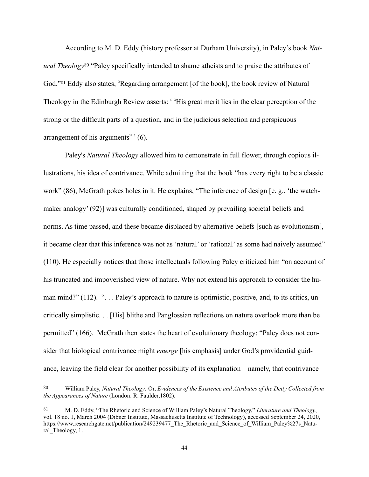<span id="page-43-3"></span><span id="page-43-2"></span>According to M. D. Eddy (history professor at Durham University), in Paley's book *Nat-uralTheology*<sup>[80](#page-43-0)</sup> "Paley specifically intended to shame atheists and to praise the attributes of God."<sup>81</sup>Eddy also states, "Regarding arrangement [of the book], the book review of Natural Theology in the Edinburgh Review asserts: ' "His great merit lies in the clear perception of the strong or the difficult parts of a question, and in the judicious selection and perspicuous arrangement of his arguments" ' (6).

Paley's *Natural Theology* allowed him to demonstrate in full flower, through copious illustrations, his idea of contrivance. While admitting that the book "has every right to be a classic work" (86), McGrath pokes holes in it. He explains, "The inference of design [e. g., 'the watchmaker analogy' (92)] was culturally conditioned, shaped by prevailing societal beliefs and norms. As time passed, and these became displaced by alternative beliefs [such as evolutionism], it became clear that this inference was not as 'natural' or 'rational' as some had naively assumed" (110). He especially notices that those intellectuals following Paley criticized him "on account of his truncated and impoverished view of nature. Why not extend his approach to consider the human mind?" (112). "... Paley's approach to nature is optimistic, positive, and, to its critics, uncritically simplistic. . . [His] blithe and Panglossian reflections on nature overlook more than be permitted" (166). McGrath then states the heart of evolutionary theology: "Paley does not consider that biological contrivance might *emerge* [his emphasis] under God's providential guidance, leaving the field clear for another possibility of its explanation—namely, that contrivance

<span id="page-43-0"></span>William Paley, *Natural Theology:* Or, *Evidences of the Existence and Attributes of the Deity Collected from* [80](#page-43-2) *the Appearances of Nature* (London: R. Faulder,1802).

<span id="page-43-1"></span>M. D. Eddy, "The Rhetoric and Science of William Paley's Natural Theology," *Literature and Theology*, [81](#page-43-3) vol. 18 no. 1, March 2004 (Dibner Institute, Massachusetts Institute of Technology), accessed September 24, 2020, https://www.researchgate.net/publication/249239477 The Rhetoric and Science of William Paley%27s Natural\_Theology, 1.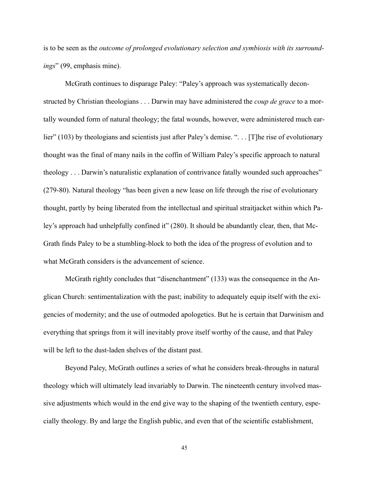is to be seen as the *outcome of prolonged evolutionary selection and symbiosis with its surroundings*" (99, emphasis mine).

McGrath continues to disparage Paley: "Paley's approach was systematically deconstructed by Christian theologians . . . Darwin may have administered the *coup de grace* to a mortally wounded form of natural theology; the fatal wounds, however, were administered much earlier" (103) by theologians and scientists just after Paley's demise. "... [T]he rise of evolutionary thought was the final of many nails in the coffin of William Paley's specific approach to natural theology . . . Darwin's naturalistic explanation of contrivance fatally wounded such approaches" (279-80). Natural theology "has been given a new lease on life through the rise of evolutionary thought, partly by being liberated from the intellectual and spiritual straitjacket within which Paley's approach had unhelpfully confined it" (280). It should be abundantly clear, then, that Mc-Grath finds Paley to be a stumbling-block to both the idea of the progress of evolution and to what McGrath considers is the advancement of science.

McGrath rightly concludes that "disenchantment" (133) was the consequence in the Anglican Church: sentimentalization with the past; inability to adequately equip itself with the exigencies of modernity; and the use of outmoded apologetics. But he is certain that Darwinism and everything that springs from it will inevitably prove itself worthy of the cause, and that Paley will be left to the dust-laden shelves of the distant past.

Beyond Paley, McGrath outlines a series of what he considers break-throughs in natural theology which will ultimately lead invariably to Darwin. The nineteenth century involved massive adjustments which would in the end give way to the shaping of the twentieth century, especially theology. By and large the English public, and even that of the scientific establishment,

45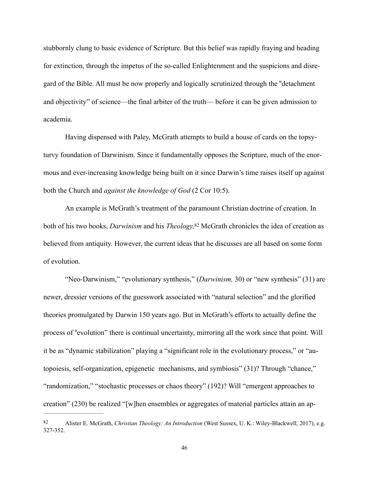stubbornly clung to basic evidence of Scripture. But this belief was rapidly fraying and heading for extinction, through the impetus of the so-called Enlightenment and the suspicions and disregard of the Bible. All must be now properly and logically scrutinized through the "detachment and objectivity" of science—the final arbiter of the truth— before it can be given admission to academia.

Having dispensed with Paley, McGrath attempts to build a house of cards on the topsyturvy foundation of Darwinism. Since it fundamentally opposes the Scripture, much of the enormous and ever-increasing knowledge being built on it since Darwin's time raises itself up against both the Church and *against the knowledge of God* (2 Cor 10:5).

<span id="page-45-1"></span>An example is McGrath's treatment of the paramount Christian doctrine of creation. In both of his two books, *Darwinism* and his *Theology*,<sup>[82](#page-45-0)</sup> McGrath chronicles the idea of creation as believed from antiquity. However, the current ideas that he discusses are all based on some form of evolution.

"Neo-Darwinism," "evolutionary synthesis," (*Darwinism,* 30) or "new synthesis" (31) are newer, dressier versions of the guesswork associated with "natural selection" and the glorified theories promulgated by Darwin 150 years ago. But in McGrath's efforts to actually define the process of "evolution" there is continual uncertainty, mirroring all the work since that point. Will it be as "dynamic stabilization" playing a "significant role in the evolutionary process," or "autopoiesis, self-organization, epigenetic mechanisms, and symbiosis" (31)? Through "chance," "randomization," "stochastic processes or chaos theory" (192)? Will "emergent approaches to creation" (230) be realized "[w]hen ensembles or aggregates of material particles attain an ap-

<span id="page-45-0"></span>[<sup>82</sup>](#page-45-1) Alister E. McGrath, *Christian Theology: An Introduction* (West Sussex, U. K.: Wiley-Blackwell, 2017), e.g. 327-352.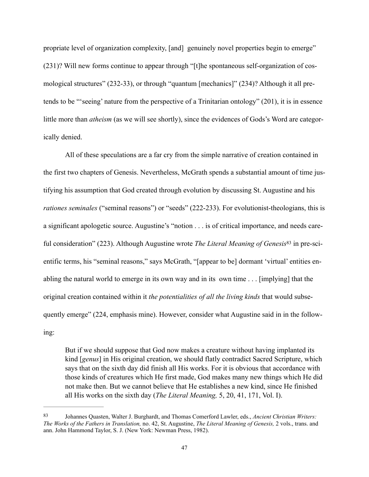propriate level of organization complexity, [and] genuinely novel properties begin to emerge" (231)? Will new forms continue to appear through "[t]he spontaneous self-organization of cosmological structures" (232-33), or through "quantum [mechanics]" (234)? Although it all pretends to be "'seeing' nature from the perspective of a Trinitarian ontology" (201), it is in essence little more than *atheism* (as we will see shortly), since the evidences of Gods's Word are categorically denied.

All of these speculations are a far cry from the simple narrative of creation contained in the first two chapters of Genesis. Nevertheless, McGrath spends a substantial amount of time justifying his assumption that God created through evolution by discussing St. Augustine and his *rationes seminales* ("seminal reasons") or "seeds" (222-233). For evolutionist-theologians, this is a significant apologetic source. Augustine's "notion . . . is of critical importance, and needs careful consideration" (223). Although Augustine wrote *The Literal Meaning of Genesis*<sup>[83](#page-46-0)</sup> in pre-scientific terms, his "seminal reasons," says McGrath, "[appear to be] dormant 'virtual' entities enabling the natural world to emerge in its own way and in its own time . . . [implying] that the original creation contained within it *the potentialities of all the living kinds* that would subsequently emerge" (224, emphasis mine). However, consider what Augustine said in in the following:

<span id="page-46-1"></span>But if we should suppose that God now makes a creature without having implanted its kind [*genus*] in His original creation, we should flatly contradict Sacred Scripture, which says that on the sixth day did finish all His works. For it is obvious that accordance with those kinds of creatures which He first made, God makes many new things which He did not make then. But we cannot believe that He establishes a new kind, since He finished all His works on the sixth day (*The Literal Meaning,* 5, 20, 41, 171, Vol. I).

<span id="page-46-0"></span>Johannes Quasten, Walter J. Burghardt, and Thomas Comerford Lawler, eds., *Ancient Christian Writers:* [83](#page-46-1) *The Works of the Fathers in Translation,* no. 42, St. Augustine, *The Literal Meaning of Genesis,* 2 vols., trans. and ann. John Hammond Taylor, S. J. (New York: Newman Press, 1982).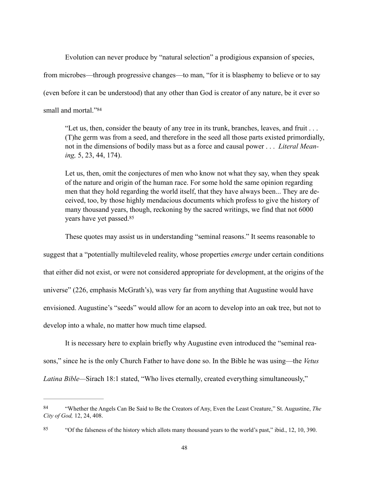Evolution can never produce by "natural selection" a prodigious expansion of species,

from microbes—through progressive changes—to man, "for it is blasphemy to believe or to say

(even before it can be understood) that any other than God is creator of any nature, be it ever so

small and mortal "[84](#page-47-0)"

<span id="page-47-2"></span>"Let us, then, consider the beauty of any tree in its trunk, branches, leaves, and fruit . . . (T)he germ was from a seed, and therefore in the seed all those parts existed primordially, not in the dimensions of bodily mass but as a force and causal power . . . *Literal Meaning,* 5, 23, 44, 174).

<span id="page-47-3"></span>Let us, then, omit the conjectures of men who know not what they say, when they speak of the nature and origin of the human race. For some hold the same opinion regarding men that they hold regarding the world itself, that they have always been... They are deceived, too, by those highly mendacious documents which profess to give the history of many thousand years, though, reckoning by the sacred writings, we find that not 6000 years have yet passed.[85](#page-47-1)

These quotes may assist us in understanding "seminal reasons." It seems reasonable to suggest that a "potentially multileveled reality, whose properties *emerge* under certain conditions that either did not exist, or were not considered appropriate for development, at the origins of the universe" (226, emphasis McGrath's), was very far from anything that Augustine would have envisioned. Augustine's "seeds" would allow for an acorn to develop into an oak tree, but not to develop into a whale, no matter how much time elapsed.

It is necessary here to explain briefly why Augustine even introduced the "seminal reasons," since he is the only Church Father to have done so. In the Bible he was using—the *Vetus Latina Bible—*Sirach 18:1 stated, "Who lives eternally, created everything simultaneously,"

<span id="page-47-0"></span><sup>&</sup>quot;Whether the Angels Can Be Said to Be the Creators of Any, Even the Least Creature," St. Augustine, *The* [84](#page-47-2) *City of God,* 12, 24, 408.

<span id="page-47-1"></span><sup>&</sup>lt;sup>[85](#page-47-3)</sup> "Of the falseness of the history which allots many thousand years to the world's past," ibid., 12, 10, 390.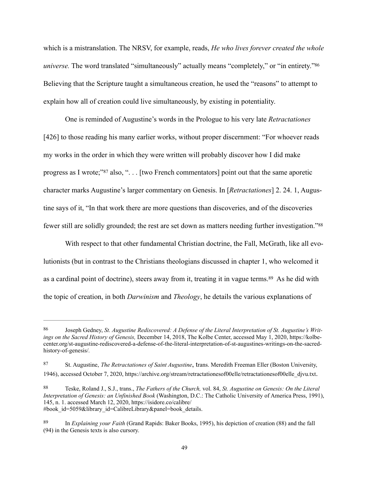<span id="page-48-4"></span>which is a mistranslation. The NRSV, for example, reads, *He who lives forever created the whole universe.* The word translated "simultaneously" actually means "completely," or "in entirety."<sup>86</sup> Believing that the Scripture taught a simultaneous creation, he used the "reasons" to attempt to explain how all of creation could live simultaneously, by existing in potentiality.

<span id="page-48-5"></span>One is reminded of Augustine's words in the Prologue to his very late *Retractationes* [426] to those reading his many earlier works, without proper discernment: "For whoever reads my works in the order in which they were written will probably discover how I did make progressas I wrote;" $87$  also, "... [two French commentators] point out that the same aporetic character marks Augustine's larger commentary on Genesis. In [*Retractationes*] 2. 24. 1, Augustine says of it, "In that work there are more questions than discoveries, and of the discoveries fewer still are solidly grounded; the rest are set down as matters needing further investigation."<sup>88</sup>

<span id="page-48-7"></span><span id="page-48-6"></span>With respect to that other fundamental Christian doctrine, the Fall, McGrath, like all evolutionists (but in contrast to the Christians theologians discussed in chapter 1, who welcomed it asa cardinal point of doctrine), steers away from it, treating it in vague terms.<sup>[89](#page-48-3)</sup> As he did with the topic of creation, in both *Darwinism* and *Theology*, he details the various explanations of

<span id="page-48-0"></span>Joseph Gedney, *St. Augustine Rediscovered: A Defense of the Literal Interpretation of St. Augustine's Writ* [86](#page-48-4)  *ings on the Sacred History of Genesis,* December 14, 2018, The Kolbe Center, accessed May 1, 2020, https://kolbecenter.org/st-augustine-rediscovered-a-defense-of-the-literal-interpretation-of-st-augustines-writings-on-the-sacredhistory-of-genesis/*.*

<span id="page-48-1"></span>St. Augustine, *The Retractationes of Saint Augustine*[,](https://archive.org/details/retractationesof00elle) trans. Meredith Freeman Eller (Boston University, [87](#page-48-5) 1946), accessed October 7, 2020, [https://archive.org/stream/retractationesof00elle/retractationesof00elle\\_djvu.txt](https://archive.org/stream/retractationesof00elle/retractationesof00elle_djvu.txt).

<span id="page-48-2"></span>Teske, Roland J., S.J., trans., *The Fathers of the Church,* vol. 84, *St. Augustine on Genesis: On the Literal* [88](#page-48-6) *Interpretation of Genesis: an Unfinished Book* (Washington, D.C.: The Catholic University of America Press, 1991), 145, n. 1. accessed March 12, 2020, https://isidore.co/calibre/ #book\_id=5059&library\_id=CalibreLibrary&panel=book\_details.

<span id="page-48-3"></span><sup>&</sup>lt;sup>[89](#page-48-7)</sup> In *Explaining your Faith* (Grand Rapids: Baker Books, 1995), his depiction of creation (88) and the fall (94) in the Genesis texts is also cursory.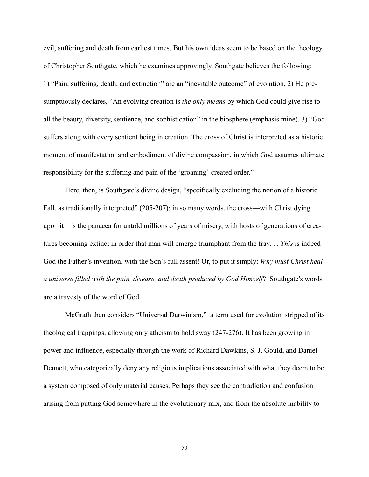evil, suffering and death from earliest times. But his own ideas seem to be based on the theology of Christopher Southgate, which he examines approvingly. Southgate believes the following: 1) "Pain, suffering, death, and extinction" are an "inevitable outcome" of evolution. 2) He presumptuously declares, "An evolving creation is *the only means* by which God could give rise to all the beauty, diversity, sentience, and sophistication" in the biosphere (emphasis mine). 3) "God suffers along with every sentient being in creation. The cross of Christ is interpreted as a historic moment of manifestation and embodiment of divine compassion, in which God assumes ultimate responsibility for the suffering and pain of the 'groaning'-created order."

Here, then, is Southgate's divine design, "specifically excluding the notion of a historic Fall, as traditionally interpreted" (205-207): in so many words, the cross—with Christ dying upon it—is the panacea for untold millions of years of misery, with hosts of generations of creatures becoming extinct in order that man will emerge triumphant from the fray. . . *This* is indeed God the Father's invention, with the Son's full assent! Or, to put it simply: *Why must Christ heal a universe filled with the pain, disease, and death produced by God Himself*? Southgate's words are a travesty of the word of God.

McGrath then considers "Universal Darwinism," a term used for evolution stripped of its theological trappings, allowing only atheism to hold sway (247-276). It has been growing in power and influence, especially through the work of Richard Dawkins, S. J. Gould, and Daniel Dennett, who categorically deny any religious implications associated with what they deem to be a system composed of only material causes. Perhaps they see the contradiction and confusion arising from putting God somewhere in the evolutionary mix, and from the absolute inability to

50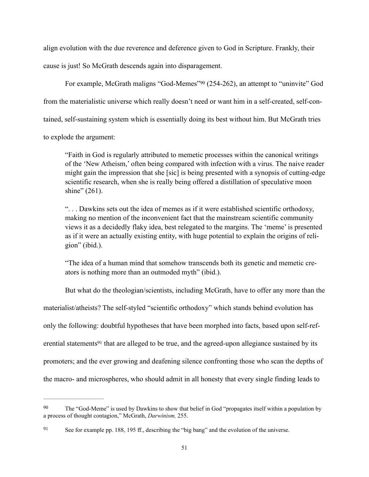align evolution with the due reverence and deference given to God in Scripture. Frankly, their cause is just! So McGrath descends again into disparagement.

For example, McGrath maligns ["](#page-50-0)God-Memes"<sup>[90](#page-50-0)</sup> (254-262), an attempt to "uninvite" God from the materialistic universe which really doesn't need or want him in a self-created, self-contained, self-sustaining system which is essentially doing its best without him. But McGrath tries to explode the argument:

<span id="page-50-2"></span>"Faith in God is regularly attributed to memetic processes within the canonical writings of the 'New Atheism,' often being compared with infection with a virus. The naive reader might gain the impression that she [sic] is being presented with a synopsis of cutting-edge scientific research, when she is really being offered a distillation of speculative moon shine" (261).

". . . Dawkins sets out the idea of memes as if it were established scientific orthodoxy, making no mention of the inconvenient fact that the mainstream scientific community views it as a decidedly flaky idea, best relegated to the margins. The 'meme' is presented as if it were an actually existing entity, with huge potential to explain the origins of religion" (ibid.).

"The idea of a human mind that somehow transcends both its genetic and memetic creators is nothing more than an outmoded myth" (ibid.).

<span id="page-50-3"></span>But what do the theologian/scientists, including McGrath, have to offer any more than the materialist/atheists? The self-styled "scientific orthodoxy" which stands behind evolution has only the following: doubtful hypotheses that have been morphed into facts, based upon self-ref-erentialstatements<sup>[91](#page-50-1)</sup> that are alleged to be true, and the agreed-upon allegiance sustained by its promoters; and the ever growing and deafening silence confronting those who scan the depths of the macro- and microspheres, who should admit in all honesty that every single finding leads to

<span id="page-50-0"></span><sup>&</sup>lt;sup>[90](#page-50-2)</sup> The "God-Meme" is used by Dawkins to show that belief in God "propagates itself within a population by a process of thought contagion," McGrath, *Darwinism,* 255.

<span id="page-50-1"></span>See for example pp. 188, 195 ff., describing the "big bang" and the evolution of the universe. [91](#page-50-3)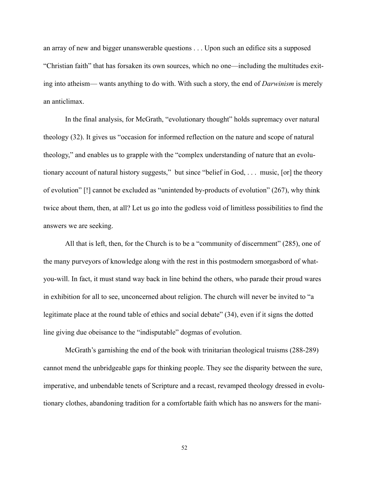an array of new and bigger unanswerable questions . . . Upon such an edifice sits a supposed "Christian faith" that has forsaken its own sources, which no one—including the multitudes exiting into atheism— wants anything to do with. With such a story, the end of *Darwinism* is merely an anticlimax.

In the final analysis, for McGrath, "evolutionary thought" holds supremacy over natural theology (32). It gives us "occasion for informed reflection on the nature and scope of natural theology," and enables us to grapple with the "complex understanding of nature that an evolutionary account of natural history suggests," but since "belief in God, . . . music, [or] the theory of evolution" [!] cannot be excluded as "unintended by-products of evolution" (267), why think twice about them, then, at all? Let us go into the godless void of limitless possibilities to find the answers we are seeking.

All that is left, then, for the Church is to be a "community of discernment" (285), one of the many purveyors of knowledge along with the rest in this postmodern smorgasbord of whatyou-will. In fact, it must stand way back in line behind the others, who parade their proud wares in exhibition for all to see, unconcerned about religion. The church will never be invited to "a legitimate place at the round table of ethics and social debate" (34), even if it signs the dotted line giving due obeisance to the "indisputable" dogmas of evolution.

McGrath's garnishing the end of the book with trinitarian theological truisms (288-289) cannot mend the unbridgeable gaps for thinking people. They see the disparity between the sure, imperative, and unbendable tenets of Scripture and a recast, revamped theology dressed in evolutionary clothes, abandoning tradition for a comfortable faith which has no answers for the mani-

52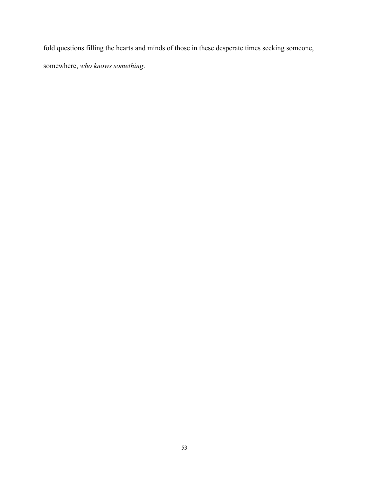fold questions filling the hearts and minds of those in these desperate times seeking someone,

somewhere, *who knows something*.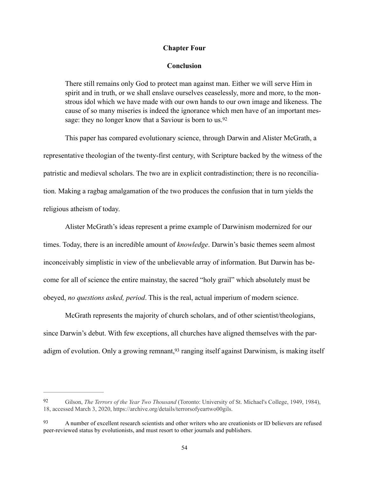#### **Chapter Four**

#### <span id="page-53-2"></span>**Conclusion**

There still remains only God to protect man against man. Either we will serve Him in spirit and in truth, or we shall enslave ourselves ceaselessly, more and more, to the monstrous idol which we have made with our own hands to our own image and likeness. The cause of so many miseries is indeed the ignorance which men have of an important message: they no longer know that a Saviour is born to us.<sup>92</sup>

This paper has compared evolutionary science, through Darwin and Alister McGrath, a representative theologian of the twenty-first century, with Scripture backed by the witness of the patristic and medieval scholars. The two are in explicit contradistinction; there is no reconciliation. Making a ragbag amalgamation of the two produces the confusion that in turn yields the religious atheism of today.

Alister McGrath's ideas represent a prime example of Darwinism modernized for our times. Today, there is an incredible amount of *knowledge*. Darwin's basic themes seem almost inconceivably simplistic in view of the unbelievable array of information. But Darwin has become for all of science the entire mainstay, the sacred "holy grail" which absolutely must be obeyed, *no questions asked, period*. This is the real, actual imperium of modern science.

<span id="page-53-3"></span>McGrath represents the majority of church scholars, and of other scientist/theologians, since Darwin's debut. With few exceptions, all churches have aligned themselves with the paradigmof evolution. Only a growing remnant,  $93$  ranging itself against Darwinism, is making itself

<span id="page-53-0"></span>Gilson, *The Terrors of the Year Two Thousand* (Toronto: University of St. Michael's College, 1949, 1984), [92](#page-53-2) 18, accessed March 3, 2020, https://archive.org/details/terrorsofyeartwo00gils.

<span id="page-53-1"></span><sup>&</sup>lt;sup>[93](#page-53-3)</sup> A number of excellent research scientists and other writers who are creationists or ID believers are refused peer-reviewed status by evolutionists, and must resort to other journals and publishers.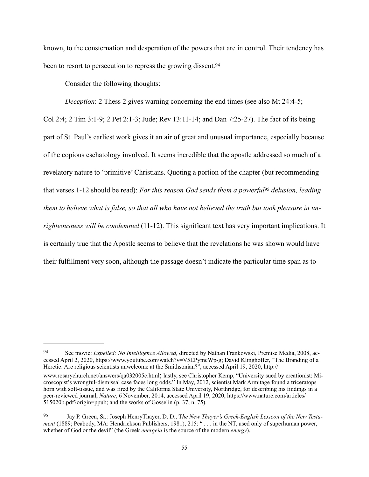known, to the consternation and desperation of the powers that are in control. Their tendency has been to resort to persecution to repress the growing dissent.<sup>94</sup>

<span id="page-54-3"></span><span id="page-54-2"></span>Consider the following thoughts:

*Deception*: 2 Thess 2 gives warning concerning the end times (see also Mt 24:4-5; Col 2:4; 2 Tim 3:1-9; 2 Pet 2:1-3; Jude; Rev 13:11-14; and Dan 7:25-27). The fact of its being part of St. Paul's earliest work gives it an air of great and unusual importance, especially because of the copious eschatology involved. It seems incredible that the apostle addressed so much of a revelatory nature to 'primitive' Christians. Quoting a portion of the chapter (but recommending that verses 1-12 shou[l](#page-54-1)d be read): *For this reason God sends them a powerful*<sup>95</sup> delusion, leading *them to believe what is false, so that all who have not believed the truth but took pleasure in unrighteousness will be condemned* (11-12). This significant text has very important implications. It is certainly true that the Apostle seems to believe that the revelations he was shown would have their fulfillment very soon, although the passage doesn't indicate the particular time span as to

<span id="page-54-0"></span>See movie: *Expelled: No Intelligence Allowed,* directed by Nathan Frankowski, Premise Media, 2008, ac [94](#page-54-2) cessed April 2, 2020, https://www.youtube.com/watch?v=V5EPymcWp-g; David Klinghoffer, "The Branding of a Heretic: Are religious scientists unwelcome at the Smithsonian?", accessed April 19, 2020, http://

www.rosarychurch.net/answers/qa032005c.html; lastly, see Christopher Kemp, "University sued by creationist: Microscopist's wrongful-dismissal case faces long odds." In May, 2012, scientist Mark Armitage found a triceratops horn with soft-tissue, and was fired by the California State University, Northridge, for describing his findings in a peer-reviewed journal, *Nature*, 6 November, 2014, accessed April 19, 2020, [https://www.nature.com/articles/](https://www.nature.com/articles/515020b.pdf?origin=ppub) [515020b.pdf?origin=ppub;](https://www.nature.com/articles/515020b.pdf?origin=ppub) and the works of Gosselin (p. 37, n. 75).

<span id="page-54-1"></span>Jay P. Green, Sr.: Joseph HenryThayer, D. D., T*he New Thayer's Greek-English Lexicon of the New Testa* [95](#page-54-3)  *ment* (1889; Peabody, MA: Hendrickson Publishers, 1981), 215: " . . . in the NT, used only of superhuman power, whether of God or the devil" (the Greek *energeia* is the source of the modern *energy*).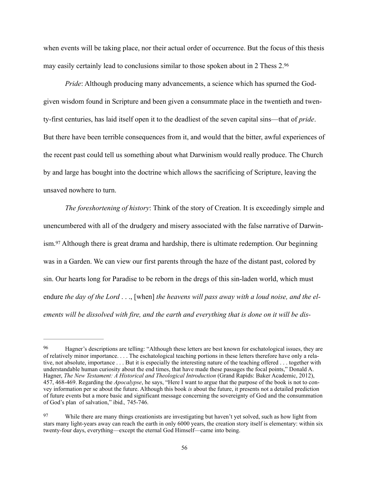<span id="page-55-2"></span>when events will be taking place, nor their actual order of occurrence. But the focus of this thesis may easily certainly lead to conclusions similar to those spoken about in 2 Thess 2[.96](#page-55-0)

*Pride*: Although producing many advancements, a science which has spurned the Godgiven wisdom found in Scripture and been given a consummate place in the twentieth and twenty-first centuries, has laid itself open it to the deadliest of the seven capital sins—that of *pride*. But there have been terrible consequences from it, and would that the bitter, awful experiences of the recent past could tell us something about what Darwinism would really produce. The Church by and large has bought into the doctrine which allows the sacrificing of Scripture, leaving the unsaved nowhere to turn.

<span id="page-55-3"></span>*The foreshortening of history*: Think of the story of Creation. It is exceedingly simple and unencumbered with all of the drudgery and misery associated with the false narrative of Darwin-ism[.](#page-55-1)<sup>[97](#page-55-1)</sup> Although there is great drama and hardship, there is ultimate redemption. Our beginning was in a Garden. We can view our first parents through the haze of the distant past, colored by sin. Our hearts long for Paradise to be reborn in the dregs of this sin-laden world, which must endure *the day of the Lord* . . ., [when] *the heavens will pass away with a loud noise, and the elements will be dissolved with fire, and the earth and everything that is done on it will be dis-*

<span id="page-55-0"></span><sup>&</sup>lt;sup>[96](#page-55-2)</sup> Hagner's descriptions are telling: "Although these letters are best known for eschatological issues, they are of relatively minor importance. . . . The eschatological teaching portions in these letters therefore have only a relative, not absolute, importance . . . But it is especially the interesting nature of the teaching offered . . . together with understandable human curiosity about the end times, that have made these passages the focal points," Donald A. Hagner, *The New Testament: A Historical and Theological Introduction* (Grand Rapids: Baker Academic, 2012), 457, 468-469. Regarding the *Apocalypse*, he says, "Here I want to argue that the purpose of the book is not to convey information per se about the future. Although this book *is* about the future, it presents not a detailed prediction of future events but a more basic and significant message concerning the sovereignty of God and the consummation of God's plan of salvation," ibid.*,* 745-746.

<span id="page-55-1"></span><sup>&</sup>lt;sup>[97](#page-55-3)</sup> While there are many things creationists are investigating but haven't yet solved, such as how light from stars many light-years away can reach the earth in only 6000 years, the creation story itself is elementary: within six twenty-four days, everything—except the eternal God Himself—came into being.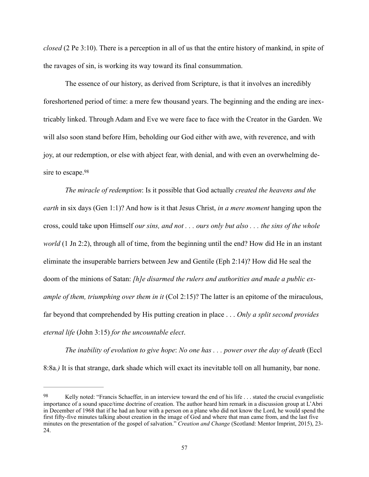*closed* (2 Pe 3:10). There is a perception in all of us that the entire history of mankind, in spite of the ravages of sin, is working its way toward its final consummation.

The essence of our history, as derived from Scripture, is that it involves an incredibly foreshortened period of time: a mere few thousand years. The beginning and the ending are inextricably linked. Through Adam and Eve we were face to face with the Creator in the Garden. We will also soon stand before Him, beholding our God either with awe, with reverence, and with joy, at our redemption, or else with abject fear, with denial, and with even an overwhelming de-sire to escape.<sup>[98](#page-56-0)</sup>

<span id="page-56-1"></span>*The miracle of redemption*: Is it possible that God actually *created the heavens and the earth* in six days (Gen 1:1)? And how is it that Jesus Christ, *in a mere moment* hanging upon the cross, could take upon Himself *our sins, and not . . . ours only but also . . . the sins of the whole world* (1 Jn 2:2), through all of time, from the beginning until the end? How did He in an instant eliminate the insuperable barriers between Jew and Gentile (Eph 2:14)? How did He seal the doom of the minions of Satan: *[h]e disarmed the rulers and authorities and made a public example of them, triumphing over them in it* (Col 2:15)? The latter is an epitome of the miraculous, far beyond that comprehended by His putting creation in place . . . *Only a split second provides eternal life* (John 3:15) *for the uncountable elect*.

*The inability of evolution to give hope*: *No one has . . . power over the day of death* (Eccl 8:8a*.)* It is that strange, dark shade which will exact its inevitable toll on all humanity, bar none.

<span id="page-56-0"></span>[<sup>98</sup>](#page-56-1) Kelly noted: "Francis Schaeffer, in an interview toward the end of his life . . . stated the crucial evangelistic importance of a sound space/time doctrine of creation. The author heard him remark in a discussion group at L'Abri in December of 1968 that if he had an hour with a person on a plane who did not know the Lord, he would spend the first fifty-five minutes talking about creation in the image of God and where that man came from, and the last five minutes on the presentation of the gospel of salvation." *Creation and Change* (Scotland: Mentor Imprint, 2015), 23- 24.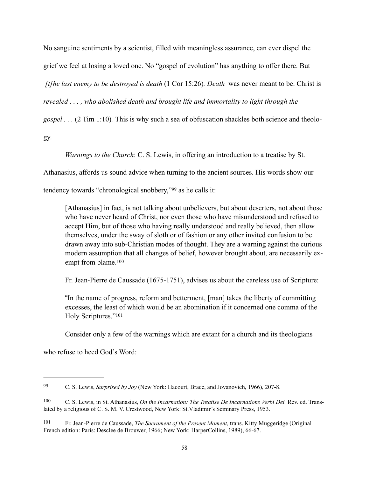No sanguine sentiments by a scientist, filled with meaningless assurance, can ever dispel the

grief we feel at losing a loved one. No "gospel of evolution" has anything to offer there. But

*[t]he last enemy to be destroyed is death* (1 Cor 15:26)*. Death* was never meant to be. Christ is

*revealed . . . , who abolished death and brought life and immortality to light through the* 

*gospel . . .* (2 Tim 1:10)*.* This is why such a sea of obfuscation shackles both science and theolo-

gy.

*Warnings to the Church*: C. S. Lewis, in offering an introduction to a treatise by St.

Athanasius, affords us sound advice when turning to the ancient sources. His words show our

tendency towards ["](#page-57-0)chronological snobbery,"<sup>99</sup> as he calls it:

<span id="page-57-3"></span>[Athanasius] in fact, is not talking about unbelievers, but about deserters, not about those who have never heard of Christ, nor even those who have misunderstood and refused to accept Him, but of those who having really understood and really believed, then allow themselves, under the sway of sloth or of fashion or any other invited confusion to be drawn away into sub-Christian modes of thought. They are a warning against the curious modern assumption that all changes of belief, however brought about, are necessarily exempt from blame.[100](#page-57-1)

<span id="page-57-4"></span>Fr. Jean-Pierre de Caussade (1675-1751), advises us about the careless use of Scripture:

<span id="page-57-5"></span>"In the name of progress, reform and betterment, [man] takes the liberty of committing excesses, the least of which would be an abomination if it concerned one comma of the Holy Scriptures."[101](#page-57-2)

Consider only a few of the warnings which are extant for a church and its theologians

who refuse to heed God's Word:

<span id="page-57-0"></span><sup>&</sup>lt;sup>[99](#page-57-3)</sup> C. S. Lewis, *Surprised by Joy* (New York: Hacourt, Brace, and Jovanovich, 1966), 207-8.

<span id="page-57-1"></span><sup>&</sup>lt;sup>[100](#page-57-4)</sup> C. S. Lewis, in St. Athanasius, *On the Incarnation: The Treatise De Incarnations Verbi Dei. Rev. ed. Trans*lated by a religious of C. S. M. V. Crestwood, New York: St.Vladimir's Seminary Press, 1953.

<span id="page-57-2"></span>Fr. Jean-Pierre de Caussade, *The Sacrament of the Present Moment,* trans. Kitty Muggeridge (Original [101](#page-57-5) French edition: Paris: Desclée de Brouwer, 1966; New York: HarperCollins, 1989), 66-67.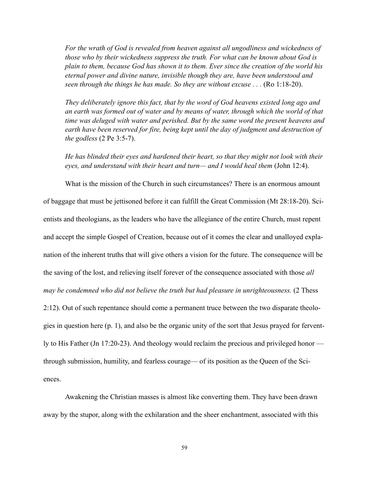*For the wrath of God is revealed from heaven against all ungodliness and wickedness of those who by their wickedness suppress the truth. For what can be known about God is plain to them, because God has shown it to them. Ever since the creation of the world his eternal power and divine nature, invisible though they are, have been understood and seen through the things he has made. So they are without excuse . . .* (Ro 1:18-20).

*They deliberately ignore this fact, that by the word of God heavens existed long ago and an earth was formed out of water and by means of water, through which the world of that time was deluged with water and perished. But by the same word the present heavens and earth have been reserved for fire, being kept until the day of judgment and destruction of the godless* (2 Pe 3:5-7).

*He has blinded their eyes and hardened their heart, so that they might not look with their eyes, and understand with their heart and turn— and I would heal them* (John 12:4).

What is the mission of the Church in such circumstances? There is an enormous amount of baggage that must be jettisoned before it can fulfill the Great Commission (Mt 28:18-20). Scientists and theologians, as the leaders who have the allegiance of the entire Church, must repent and accept the simple Gospel of Creation, because out of it comes the clear and unalloyed explanation of the inherent truths that will give others a vision for the future. The consequence will be the saving of the lost, and relieving itself forever of the consequence associated with those *all may be condemned who did not believe the truth but had pleasure in unrighteousness.* (2 Thess 2:12). Out of such repentance should come a permanent truce between the two disparate theologies in question here (p. 1), and also be the organic unity of the sort that Jesus prayed for fervently to His Father (Jn 17:20-23). And theology would reclaim the precious and privileged honor through submission, humility, and fearless courage— of its position as the Queen of the Sciences.

Awakening the Christian masses is almost like converting them. They have been drawn away by the stupor, along with the exhilaration and the sheer enchantment, associated with this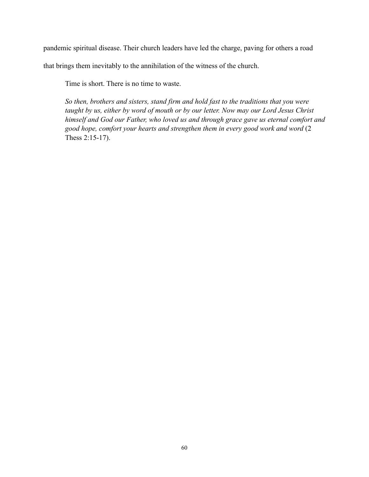pandemic spiritual disease. Their church leaders have led the charge, paving for others a road

that brings them inevitably to the annihilation of the witness of the church.

Time is short. There is no time to waste.

*So then, brothers and sisters, stand firm and hold fast to the traditions that you were taught by us, either by word of mouth or by our letter. Now may our Lord Jesus Christ himself and God our Father, who loved us and through grace gave us eternal comfort and good hope, comfort your hearts and strengthen them in every good work and word* (2 Thess 2:15-17).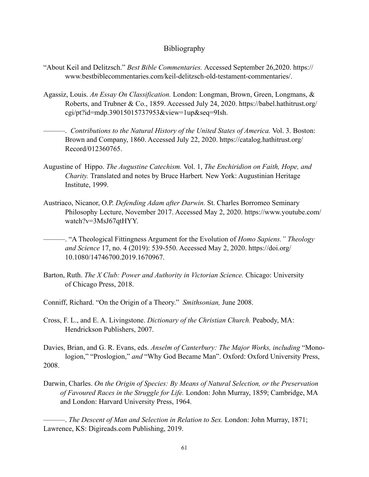### Bibliography

- "About Keil and Delitzsch." *Best Bible Commentaries.* Accessed September 26,2020. https:// www.bestbiblecommentaries.com/keil-delitzsch-old-testament-commentaries/.
- Agassiz, Louis. *An Essay On Classification.* London: Longman, Brown, Green, Longmans, & Roberts, and Trubner & Co., 1859. Accessed July 24, 2020. https://babel.hathitrust.org/ cgi/pt?id=mdp.39015015737953&view=1up&seq=9Ish.
	- ———. *Contributions to the Natural History of the United States of America.* Vol. 3. Boston: Brown and Company, 1860. Accessed July 22, 2020. https://catalog.hathitrust.org/ Record/012360765.
- Augustine of Hippo. *The Augustine Catechism.* Vol. 1, *The Enchiridion on Faith, Hope, and Charity.* Translated and notes by Bruce Harbert*.* New York: Augustinian Heritage Institute, 1999.
- Austriaco, Nicanor, O.P. *Defending Adam after Darwin.* St. Charles Borromeo Seminary Philosophy Lecture, November 2017. Accessed May 2, 2020. https://www.youtube.com/ watch?v=3MsJ67qtHYY.
- ———. "A Theological Fittingness Argument for the Evolution of *Homo Sapiens." Theology and Science* 17, no. 4 (2019): 539-550. Accessed May 2, 2020. https://doi.org/ 10.1080/14746700.2019.1670967.
- Barton, Ruth. *The X Club: Power and Authority in Victorian Science.* Chicago: University of Chicago Press, 2018.
- Conniff, Richard. "On the Origin of a Theory." *Smithsonian,* June 2008.
- Cross, F. L., and E. A. Livingstone. *Dictionary of the Christian Church.* Peabody, MA: Hendrickson Publishers, 2007.
- Davies, Brian, and G. R. Evans, eds. *Anselm of Canterbury: The Major Works, including* "Monologion," "Proslogion," *and* "Why God Became Man". Oxford: Oxford University Press, 2008.
- Darwin, Charles. *On the Origin of Species: By Means of Natural Selection, or the Preservation of Favoured Races in the Struggle for Life.* London: John Murray, 1859; Cambridge, MA and London: Harvard University Press, 1964.

———. *The Descent of Man and Selection in Relation to Sex.* London: John Murray, 1871; Lawrence, KS: Digireads.com Publishing, 2019.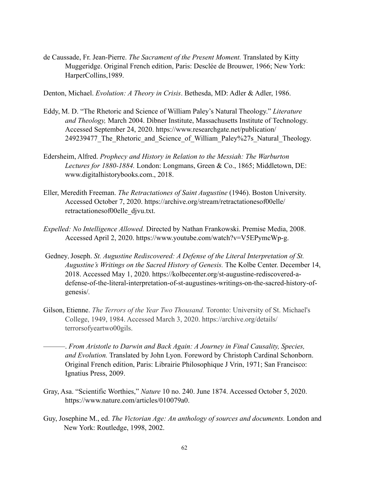de Caussade, Fr. Jean-Pierre. *The Sacrament of the Present Moment.* Translated by Kitty Muggeridge. Original French edition, Paris: Desclée de Brouwer, 1966; New York: HarperCollins,1989.

Denton, Michael. *Evolution: A Theory in Crisis*. Bethesda, MD: Adler & Adler, 1986.

- Eddy, M. D. "The Rhetoric and Science of William Paley's Natural Theology." *Literature and Theology,* March 2004. Dibner Institute, Massachusetts Institute of Technology. Accessed September 24, 2020. https://www.researchgate.net/publication/ 249239477 The Rhetoric and Science of William Paley%27s Natural Theology.
- Edersheim, Alfred. *Prophecy and History in Relation to the Messiah: The Warburton Lectures for 1880-1884.* London: Longmans, Green & Co., 1865; Middletown, DE: www.digitalhistorybooks.com., 2018.
- Eller, Meredith Freeman. *The Retractationes of Saint Augustine* (1946). Boston University. Accessed October 7, 2020. https://archive.org/stream/retractationesof00elle/ retractationesof00elle\_djvu.txt.
- *Expelled: No Intelligence Allowed.* Directed by Nathan Frankowski. Premise Media, 2008. Accessed April 2, 2020. https://www.youtube.com/watch?v=V5EPymcWp-g.
- Gedney, Joseph. *St. Augustine Rediscovered: A Defense of the Literal Interpretation of St. Augustine's Writings on the Sacred History of Genesis.* The Kolbe Center. December 14, 2018. Accessed May 1, 2020. https://kolbecenter.org/st-augustine-rediscovered-adefense-of-the-literal-interpretation-of-st-augustines-writings-on-the-sacred-history-ofgenesis/*.*
- Gilson, Etienne. *The Terrors of the Year Two Thousand.* Toronto: University of St. Michael's College, 1949, 1984. Accessed March 3, 2020. https://archive.org/details/ terrorsofyeartwo00gils.
- ———. *From Aristotle to Darwin and Back Again: A Journey in Final Causality, Species, and Evolution.* Translated by John Lyon. Foreword by Christoph Cardinal Schonborn. Original French edition, Paris: Librairie Philosophique J Vrin, 1971; San Francisco: Ignatius Press, 2009.
- Gray, Asa. "Scientific Worthies," *Nature* 10 no. 240. June 1874. Accessed October 5, 2020. https://www.nature.com/articles/010079a0.
- Guy, Josephine M., ed. *The Victorian Age: An anthology of sources and documents.* London and New York: Routledge, 1998, 2002.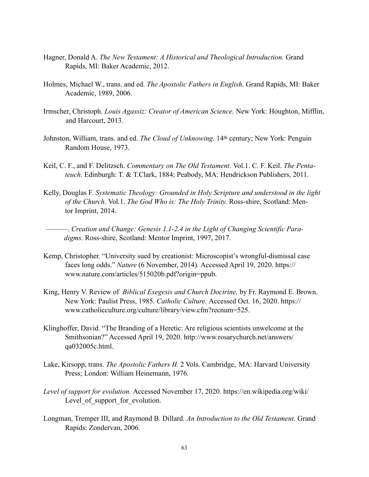- Hagner, Donald A. *The New Testament: A Historical and Theological Introduction.* Grand Rapids, MI: Baker Academic, 2012.
- Holmes, Michael W., trans. and ed. *The Apostolic Fathers in English.* Grand Rapids, MI: Baker Academic, 1989, 2006.
- Irmscher, Christoph. *Louis Agassiz: Creator of American Science.* New York: Houghton, Mifflin, and Harcourt, 2013.
- Johnston, William, trans. and ed. *The Cloud of Unknowing.* 14th century; New York: Penguin Random House, 1973.
- Keil, C. F., and F. Delitzsch. *Commentary on The Old Testament.* Vol.1. C. F. Keil. *The Pentateuch.* Edinburgh: T. & T.Clark, 1884; Peabody, MA: Hendrickson Publishers, 2011.
- Kelly, Douglas F. *Systematic Theology: Grounded in Holy Scripture and understood in the light of the Church.* Vol.1. *The God Who is: The Holy Trinity.* Ross-shire, Scotland: Mentor Imprint, 2014.
	- ———. *Creation and Change: Genesis 1.1-2.4 in the Light of Changing Scientific Para digms.* Ross-shire, Scotland: Mentor Imprint, 1997, 2017.
- Kemp, Christopher. "University sued by creationist: Microscopist's wrongful-dismissal case faces long odds." *Nature* (6 November, 2014)*.* Accessed April 19, 2020. https:// www.nature.com/articles/515020b.pdf?origin=ppub.
- King, Henry V. Review of *Biblical Exegesis and Church Doctrine,* by Fr. Raymond E. Brown. New York: Paulist Press, 1985. *Catholic Culture.* Accessed Oct. 16, 2020. https:// www.catholicculture.org/culture/library/view.cfm?recnum=525.
- Klinghoffer, David. "The Branding of a Heretic: Are religious scientists unwelcome at the Smithsonian?" Accessed April 19, 2020. http://www.rosarychurch.net/answers/ qa032005c.html.
- Lake, Kirsopp, trans. *The Apostolic Fathers II.* 2 Vols. Cambridge, MA: Harvard University Press; London: William Heinemann, 1976.
- *Level of support for evolution.* Accessed November 17, 2020. https://en.wikipedia.org/wiki/ Level of support for evolution.
- Longman, Tremper III, and Raymond B. Dillard. *An Introduction to the Old Testament.* Grand Rapids: Zondervan, 2006.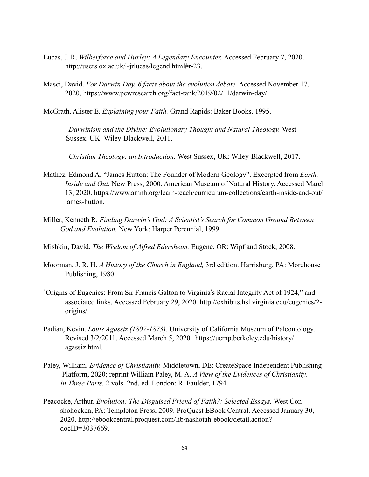- Lucas, J. R. *Wilberforce and Huxley: A Legendary Encounter.* Accessed February 7, 2020. [http://users.ox.ac.uk/~jrlucas/legend.html#r-23.](http://users.ox.ac.uk/~jrlucas/legend.html%2523r-23)
- Masci, David. *For Darwin Day, 6 facts about the evolution debate.* Accessed November 17, 2020, https://www.pewresearch.org/fact-tank/2019/02/11/darwin-day/.

McGrath, Alister E. *Explaining your Faith.* Grand Rapids: Baker Books, 1995.

———. *Darwinism and the Divine: Evolutionary Thought and Natural Theology.* West Sussex, UK: Wiley-Blackwell, 2011.

———. *Christian Theology: an Introduction.* West Sussex, UK: Wiley-Blackwell, 2017.

- Mathez, Edmond A. "James Hutton: The Founder of Modern Geology". Excerpted from *Earth: Inside and Out.* New Press, 2000. American Museum of Natural History. Accessed March 13, 2020. https://www.amnh.org/learn-teach/curriculum-collections/earth-inside-and-out/ james-hutton.
- Miller, Kenneth R. *Finding Darwin's God: A Scientist's Search for Common Ground Between God and Evolution.* New York: Harper Perennial, 1999.

Mishkin, David. *The Wisdom of Alfred Edersheim.* Eugene, OR: Wipf and Stock, 2008.

- Moorman, J. R. H. *A History of the Church in England,* 3rd edition. Harrisburg, PA: Morehouse Publishing, 1980.
- "Origins of Eugenics: From Sir Francis Galton to Virginia's Racial Integrity Act of 1924," and associated links. Accessed February 29, 2020. http://exhibits.hsl.virginia.edu/eugenics/2 origins/.
- Padian, Kevin. *Louis Agassiz (1807-1873).* University of California Museum of Paleontology. Revised 3/2/2011. Accessed March 5, 2020. https://ucmp.berkeley.edu/history/ agassiz.html.
- Paley, William. *Evidence of Christianity.* Middletown, DE: CreateSpace Independent Publishing Platform, 2020; reprint William Paley, M. A. *A View of the Evidences of Christianity. In Three Parts.* 2 vols. 2nd. ed. London: R. Faulder, 1794.
- Peacocke, Arthur. *Evolution: The Disguised Friend of Faith?; Selected Essays.* West Conshohocken, PA: Templeton Press, 2009. ProQuest EBook Central. Accessed January 30, 2020. http://ebookcentral.proquest.com/lib/nashotah-ebook/detail.action? docID=3037669.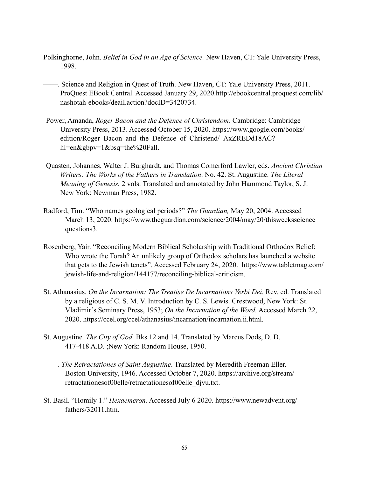- Polkinghorne, John. *Belief in God in an Age of Science.* New Haven, CT: Yale University Press, 1998.
- ——. Science and Religion in Quest of Truth. New Haven, CT: Yale University Press, 2011. ProQuest EBook Central. Accessed January 29, 2020.http://ebookcentral.proquest.com/lib/ nashotah-ebooks/deail.action?docID=3420734.
- Power, Amanda, *Roger Bacon and the Defence of Christendom*. Cambridge: Cambridge University Press, 2013. Accessed October 15, 2020. https://www.google.com/books/ edition/Roger\_Bacon\_and\_the\_Defence\_of\_Christend/\_AxZREDd18AC? hl=en&gbpv=1&bsq=the%20Fall.
- Quasten, Johannes, Walter J. Burghardt, and Thomas Comerford Lawler, eds. *Ancient Christian Writers: The Works of the Fathers in Translation*. No. 42. St. Augustine. *The Literal Meaning of Genesis.* 2 vols. Translated and annotated by John Hammond Taylor, S. J. New York: Newman Press, 1982.
- Radford, Tim. "Who names geological periods?" *The Guardian,* May 20, 2004. Accessed March 13, 2020. https://www.theguardian.com/science/2004/may/20/thisweeksscience questions3.
- Rosenberg, Yair. "Reconciling Modern Biblical Scholarship with Traditional Orthodox Belief: Who wrote the Torah? An unlikely group of Orthodox scholars has launched a website that gets to the Jewish tenets". Accessed February 24, 2020. https://www.tabletmag.com/ jewish-life-and-religion/144177/reconciling-biblical-criticism.
- St. Athanasius. *On the Incarnation: The Treatise De Incarnations Verbi Dei.* Rev. ed. Translated by a religious of C. S. M. V. Introduction by C. S. Lewis. Crestwood, New York: St. Vladimir's Seminary Press, 1953; *On the Incarnation of the Word.* Accessed March 22, 2020. <https://ccel.org/ccel/athanasius/incarnation/incarnation.ii.html>*.*
- St. Augustine. *The City of God.* Bks.12 and 14. Translated by Marcus Dods, D. D. 417-418 A.D. ;New York: Random House, 1950.
- ——. *[The Retractationes of Saint Augustine](https://archive.org/details/retractationesof00elle)*. Translated by Meredith Freeman Eller. Boston University, 1946. Accessed October 7, 2020. https://archive.org/stream/ retractationesof00elle/retractationesof00elle\_djvu.txt.
- St. Basil. "Homily 1." *Hexaemeron.* Accessed July 6 2020. https://www.newadvent.org/ fathers/32011.htm.